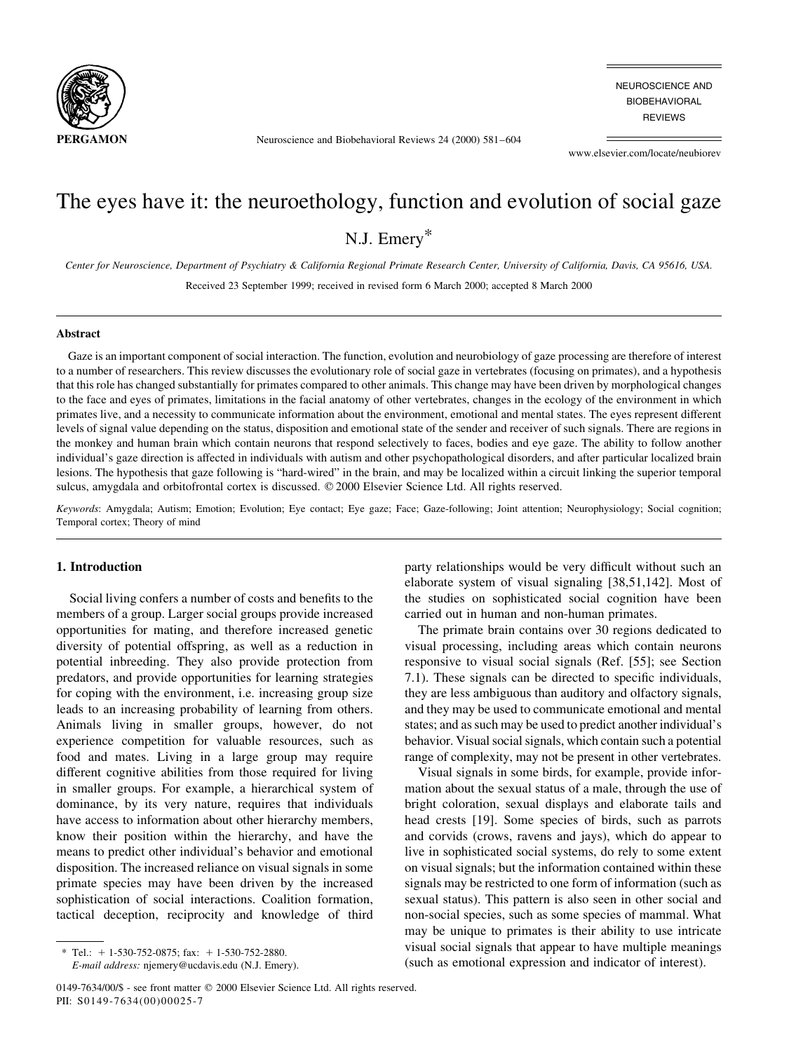

NEUROSCIENCE AND BIOBEHAVIORAL **REVIEWS** 

Neuroscience and Biobehavioral Reviews 24 (2000) 581–604

www.elsevier.com/locate/neubiorev

# The eyes have it: the neuroethology, function and evolution of social gaze

N.J. Emery\*

Center for Neuroscience, Department of Psychiatry & California Regional Primate Research Center, University of California, Davis, CA 95616, USA. Received 23 September 1999; received in revised form 6 March 2000; accepted 8 March 2000

# Abstract

Gaze is an important component of social interaction. The function, evolution and neurobiology of gaze processing are therefore of interest to a number of researchers. This review discusses the evolutionary role of social gaze in vertebrates (focusing on primates), and a hypothesis that this role has changed substantially for primates compared to other animals. This change may have been driven by morphological changes to the face and eyes of primates, limitations in the facial anatomy of other vertebrates, changes in the ecology of the environment in which primates live, and a necessity to communicate information about the environment, emotional and mental states. The eyes represent different levels of signal value depending on the status, disposition and emotional state of the sender and receiver of such signals. There are regions in the monkey and human brain which contain neurons that respond selectively to faces, bodies and eye gaze. The ability to follow another individual's gaze direction is affected in individuals with autism and other psychopathological disorders, and after particular localized brain lesions. The hypothesis that gaze following is "hard-wired" in the brain, and may be localized within a circuit linking the superior temporal sulcus, amygdala and orbitofrontal cortex is discussed. © 2000 Elsevier Science Ltd. All rights reserved.

Keywords: Amygdala; Autism; Emotion; Evolution; Eye contact; Eye gaze; Face; Gaze-following; Joint attention; Neurophysiology; Social cognition; Temporal cortex; Theory of mind

## 1. Introduction

Social living confers a number of costs and benefits to the members of a group. Larger social groups provide increased opportunities for mating, and therefore increased genetic diversity of potential offspring, as well as a reduction in potential inbreeding. They also provide protection from predators, and provide opportunities for learning strategies for coping with the environment, i.e. increasing group size leads to an increasing probability of learning from others. Animals living in smaller groups, however, do not experience competition for valuable resources, such as food and mates. Living in a large group may require different cognitive abilities from those required for living in smaller groups. For example, a hierarchical system of dominance, by its very nature, requires that individuals have access to information about other hierarchy members, know their position within the hierarchy, and have the means to predict other individual's behavior and emotional disposition. The increased reliance on visual signals in some primate species may have been driven by the increased sophistication of social interactions. Coalition formation, tactical deception, reciprocity and knowledge of third

party relationships would be very difficult without such an elaborate system of visual signaling [38,51,142]. Most of the studies on sophisticated social cognition have been carried out in human and non-human primates.

The primate brain contains over 30 regions dedicated to visual processing, including areas which contain neurons responsive to visual social signals (Ref. [55]; see Section 7.1). These signals can be directed to specific individuals, they are less ambiguous than auditory and olfactory signals, and they may be used to communicate emotional and mental states; and as such may be used to predict another individual's behavior. Visual social signals, which contain such a potential range of complexity, may not be present in other vertebrates.

Visual signals in some birds, for example, provide information about the sexual status of a male, through the use of bright coloration, sexual displays and elaborate tails and head crests [19]. Some species of birds, such as parrots and corvids (crows, ravens and jays), which do appear to live in sophisticated social systems, do rely to some extent on visual signals; but the information contained within these signals may be restricted to one form of information (such as sexual status). This pattern is also seen in other social and non-social species, such as some species of mammal. What may be unique to primates is their ability to use intricate visual social signals that appear to have multiple meanings (such as emotional expression and indicator of interest).

Tel.:  $+ 1 - 530 - 752 - 0875$ ; fax:  $+ 1 - 530 - 752 - 2880$ .

E-mail address: njemery@ucdavis.edu (N.J. Emery).

<sup>0149-7634/00/\$ -</sup> see front matter © 2000 Elsevier Science Ltd. All rights reserved. PII: S0149-7634(00)00025-7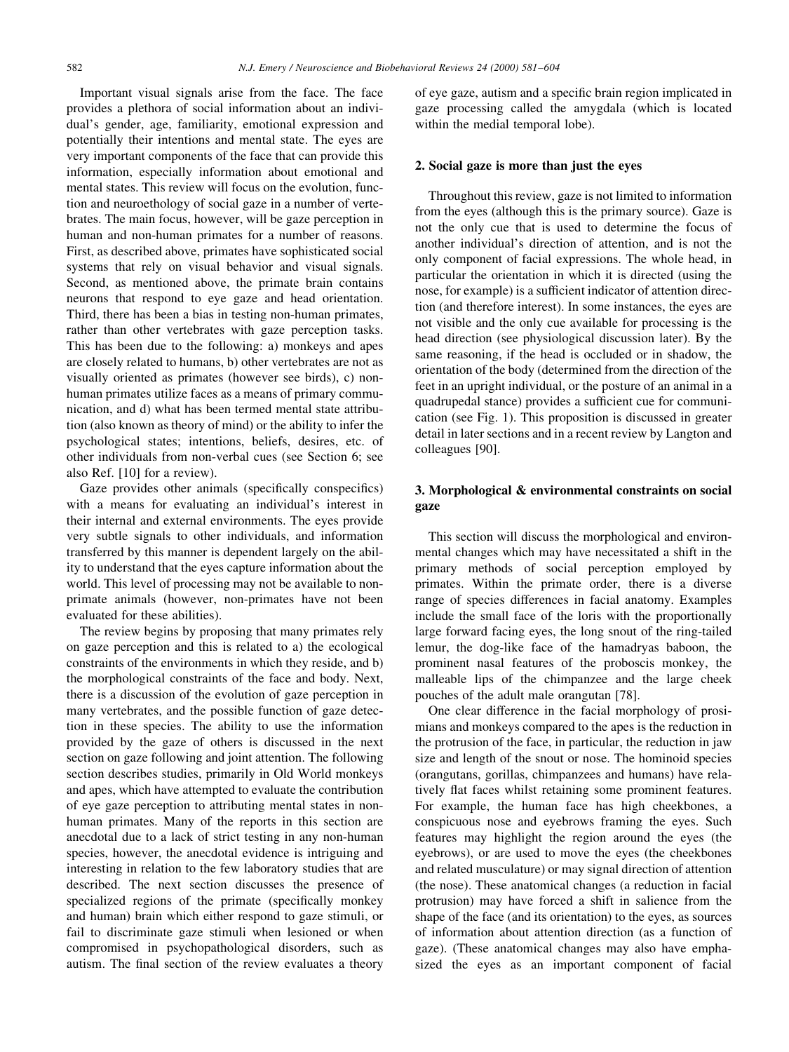Important visual signals arise from the face. The face provides a plethora of social information about an individual's gender, age, familiarity, emotional expression and potentially their intentions and mental state. The eyes are very important components of the face that can provide this information, especially information about emotional and mental states. This review will focus on the evolution, function and neuroethology of social gaze in a number of vertebrates. The main focus, however, will be gaze perception in human and non-human primates for a number of reasons. First, as described above, primates have sophisticated social systems that rely on visual behavior and visual signals. Second, as mentioned above, the primate brain contains neurons that respond to eye gaze and head orientation. Third, there has been a bias in testing non-human primates, rather than other vertebrates with gaze perception tasks. This has been due to the following: a) monkeys and apes are closely related to humans, b) other vertebrates are not as visually oriented as primates (however see birds), c) nonhuman primates utilize faces as a means of primary communication, and d) what has been termed mental state attribution (also known as theory of mind) or the ability to infer the psychological states; intentions, beliefs, desires, etc. of other individuals from non-verbal cues (see Section 6; see also Ref. [10] for a review).

Gaze provides other animals (specifically conspecifics) with a means for evaluating an individual's interest in their internal and external environments. The eyes provide very subtle signals to other individuals, and information transferred by this manner is dependent largely on the ability to understand that the eyes capture information about the world. This level of processing may not be available to nonprimate animals (however, non-primates have not been evaluated for these abilities).

The review begins by proposing that many primates rely on gaze perception and this is related to a) the ecological constraints of the environments in which they reside, and b) the morphological constraints of the face and body. Next, there is a discussion of the evolution of gaze perception in many vertebrates, and the possible function of gaze detection in these species. The ability to use the information provided by the gaze of others is discussed in the next section on gaze following and joint attention. The following section describes studies, primarily in Old World monkeys and apes, which have attempted to evaluate the contribution of eye gaze perception to attributing mental states in nonhuman primates. Many of the reports in this section are anecdotal due to a lack of strict testing in any non-human species, however, the anecdotal evidence is intriguing and interesting in relation to the few laboratory studies that are described. The next section discusses the presence of specialized regions of the primate (specifically monkey and human) brain which either respond to gaze stimuli, or fail to discriminate gaze stimuli when lesioned or when compromised in psychopathological disorders, such as autism. The final section of the review evaluates a theory

of eye gaze, autism and a specific brain region implicated in gaze processing called the amygdala (which is located within the medial temporal lobe).

## 2. Social gaze is more than just the eyes

Throughout this review, gaze is not limited to information from the eyes (although this is the primary source). Gaze is not the only cue that is used to determine the focus of another individual's direction of attention, and is not the only component of facial expressions. The whole head, in particular the orientation in which it is directed (using the nose, for example) is a sufficient indicator of attention direction (and therefore interest). In some instances, the eyes are not visible and the only cue available for processing is the head direction (see physiological discussion later). By the same reasoning, if the head is occluded or in shadow, the orientation of the body (determined from the direction of the feet in an upright individual, or the posture of an animal in a quadrupedal stance) provides a sufficient cue for communication (see Fig. 1). This proposition is discussed in greater detail in later sections and in a recent review by Langton and colleagues [90].

# 3. Morphological & environmental constraints on social gaze

This section will discuss the morphological and environmental changes which may have necessitated a shift in the primary methods of social perception employed by primates. Within the primate order, there is a diverse range of species differences in facial anatomy. Examples include the small face of the loris with the proportionally large forward facing eyes, the long snout of the ring-tailed lemur, the dog-like face of the hamadryas baboon, the prominent nasal features of the proboscis monkey, the malleable lips of the chimpanzee and the large cheek pouches of the adult male orangutan [78].

One clear difference in the facial morphology of prosimians and monkeys compared to the apes is the reduction in the protrusion of the face, in particular, the reduction in jaw size and length of the snout or nose. The hominoid species (orangutans, gorillas, chimpanzees and humans) have relatively flat faces whilst retaining some prominent features. For example, the human face has high cheekbones, a conspicuous nose and eyebrows framing the eyes. Such features may highlight the region around the eyes (the eyebrows), or are used to move the eyes (the cheekbones and related musculature) or may signal direction of attention (the nose). These anatomical changes (a reduction in facial protrusion) may have forced a shift in salience from the shape of the face (and its orientation) to the eyes, as sources of information about attention direction (as a function of gaze). (These anatomical changes may also have emphasized the eyes as an important component of facial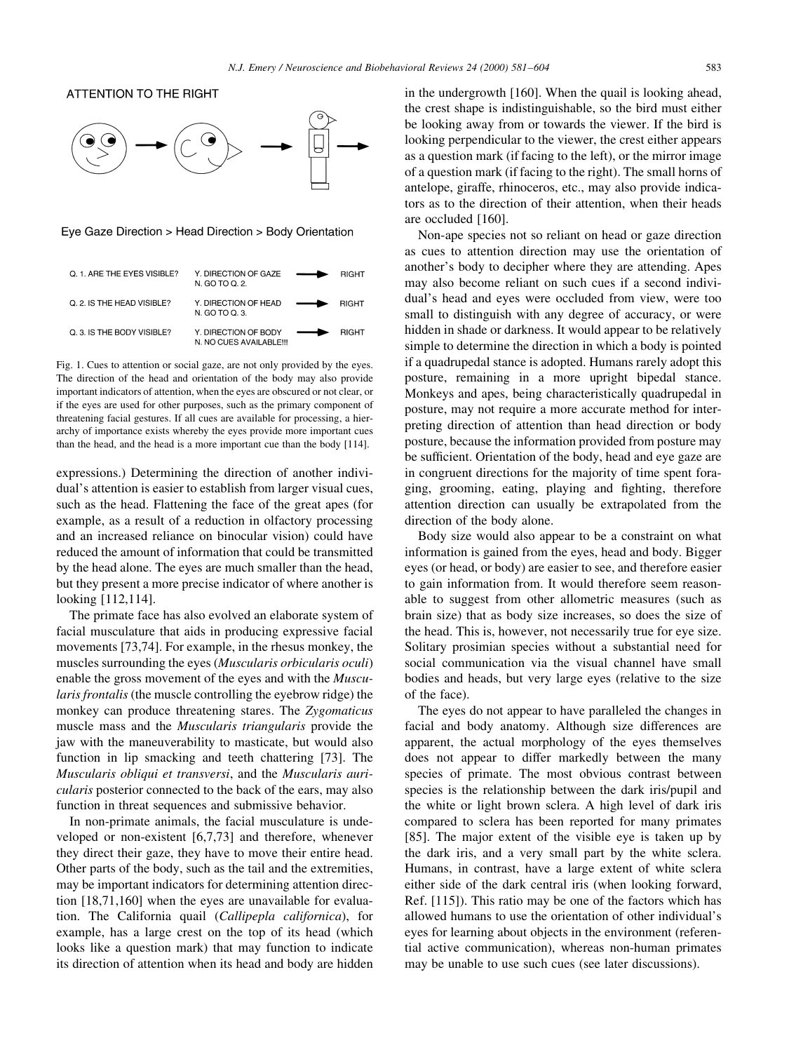#### **ATTENTION TO THE RIGHT**



Eye Gaze Direction > Head Direction > Body Orientation



Fig. 1. Cues to attention or social gaze, are not only provided by the eyes. The direction of the head and orientation of the body may also provide important indicators of attention, when the eyes are obscured or not clear, or if the eyes are used for other purposes, such as the primary component of threatening facial gestures. If all cues are available for processing, a hierarchy of importance exists whereby the eyes provide more important cues than the head, and the head is a more important cue than the body [114].

expressions.) Determining the direction of another individual's attention is easier to establish from larger visual cues, such as the head. Flattening the face of the great apes (for example, as a result of a reduction in olfactory processing and an increased reliance on binocular vision) could have reduced the amount of information that could be transmitted by the head alone. The eyes are much smaller than the head, but they present a more precise indicator of where another is looking [112,114].

The primate face has also evolved an elaborate system of facial musculature that aids in producing expressive facial movements [73,74]. For example, in the rhesus monkey, the muscles surrounding the eyes (Muscularis orbicularis oculi) enable the gross movement of the eyes and with the Muscularis frontalis (the muscle controlling the eyebrow ridge) the monkey can produce threatening stares. The Zygomaticus muscle mass and the Muscularis triangularis provide the jaw with the maneuverability to masticate, but would also function in lip smacking and teeth chattering [73]. The Muscularis obliqui et transversi, and the Muscularis auricularis posterior connected to the back of the ears, may also function in threat sequences and submissive behavior.

In non-primate animals, the facial musculature is undeveloped or non-existent [6,7,73] and therefore, whenever they direct their gaze, they have to move their entire head. Other parts of the body, such as the tail and the extremities, may be important indicators for determining attention direction [18,71,160] when the eyes are unavailable for evaluation. The California quail (Callipepla californica), for example, has a large crest on the top of its head (which looks like a question mark) that may function to indicate its direction of attention when its head and body are hidden in the undergrowth [160]. When the quail is looking ahead, the crest shape is indistinguishable, so the bird must either be looking away from or towards the viewer. If the bird is looking perpendicular to the viewer, the crest either appears as a question mark (if facing to the left), or the mirror image of a question mark (if facing to the right). The small horns of antelope, giraffe, rhinoceros, etc., may also provide indicators as to the direction of their attention, when their heads are occluded [160].

Non-ape species not so reliant on head or gaze direction as cues to attention direction may use the orientation of another's body to decipher where they are attending. Apes may also become reliant on such cues if a second individual's head and eyes were occluded from view, were too small to distinguish with any degree of accuracy, or were hidden in shade or darkness. It would appear to be relatively simple to determine the direction in which a body is pointed if a quadrupedal stance is adopted. Humans rarely adopt this posture, remaining in a more upright bipedal stance. Monkeys and apes, being characteristically quadrupedal in posture, may not require a more accurate method for interpreting direction of attention than head direction or body posture, because the information provided from posture may be sufficient. Orientation of the body, head and eye gaze are in congruent directions for the majority of time spent foraging, grooming, eating, playing and fighting, therefore attention direction can usually be extrapolated from the direction of the body alone.

Body size would also appear to be a constraint on what information is gained from the eyes, head and body. Bigger eyes (or head, or body) are easier to see, and therefore easier to gain information from. It would therefore seem reasonable to suggest from other allometric measures (such as brain size) that as body size increases, so does the size of the head. This is, however, not necessarily true for eye size. Solitary prosimian species without a substantial need for social communication via the visual channel have small bodies and heads, but very large eyes (relative to the size of the face).

The eyes do not appear to have paralleled the changes in facial and body anatomy. Although size differences are apparent, the actual morphology of the eyes themselves does not appear to differ markedly between the many species of primate. The most obvious contrast between species is the relationship between the dark iris/pupil and the white or light brown sclera. A high level of dark iris compared to sclera has been reported for many primates [85]. The major extent of the visible eye is taken up by the dark iris, and a very small part by the white sclera. Humans, in contrast, have a large extent of white sclera either side of the dark central iris (when looking forward, Ref. [115]). This ratio may be one of the factors which has allowed humans to use the orientation of other individual's eyes for learning about objects in the environment (referential active communication), whereas non-human primates may be unable to use such cues (see later discussions).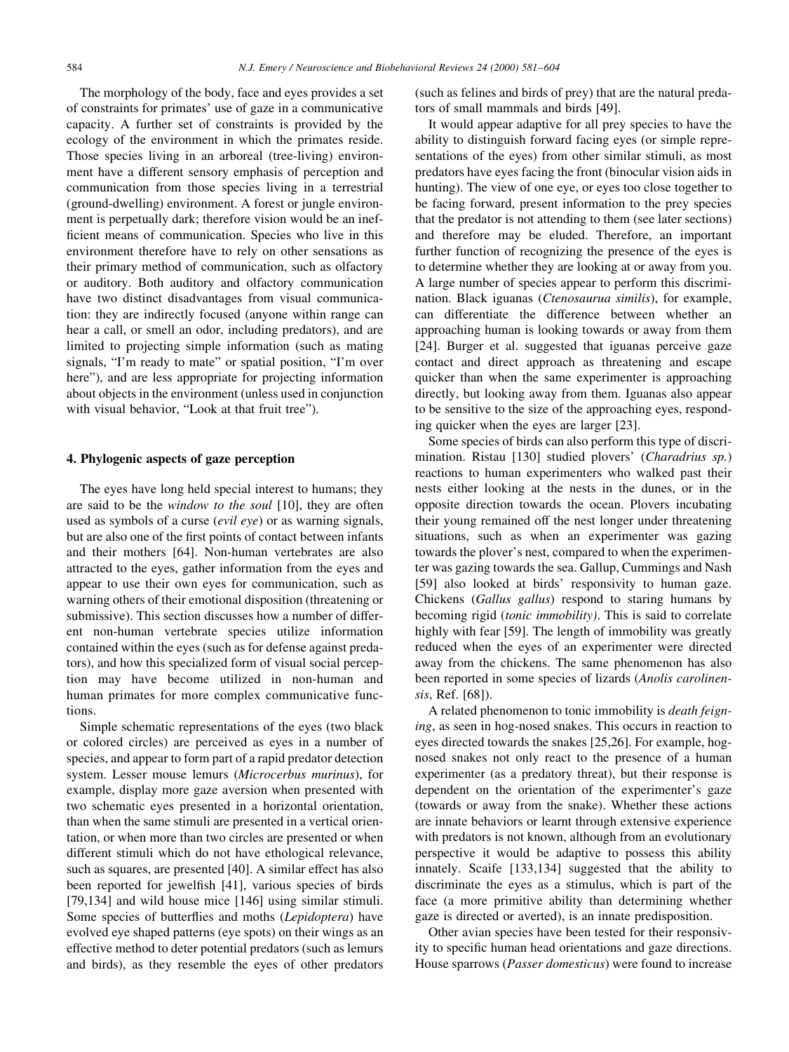The morphology of the body, face and eyes provides a set of constraints for primates' use of gaze in a communicative capacity. A further set of constraints is provided by the ecology of the environment in which the primates reside. Those species living in an arboreal (tree-living) environment have a different sensory emphasis of perception and communication from those species living in a terrestrial (ground-dwelling) environment. A forest or jungle environment is perpetually dark; therefore vision would be an inef ficient means of communication. Species who live in this environment therefore have to rely on other sensations as their primary method of communication, such as olfactory or auditory. Both auditory and olfactory communication have two distinct disadvantages from visual communication: they are indirectly focused (anyone within range can hear a call, or smell an odor, including predators), and are limited to projecting simple information (such as mating signals, "I'm ready to mate" or spatial position, "I'm over here"), and are less appropriate for projecting information about objects in the environment (unless used in conjunction with visual behavior, "Look at that fruit tree").

#### 4. Phylogenic aspects of gaze perception

The eyes have long held special interest to humans; they are said to be the window to the soul [10], they are often used as symbols of a curse (evil eye) or as warning signals, but are also one of the first points of contact between infants and their mothers [64]. Non-human vertebrates are also attracted to the eyes, gather information from the eyes and appear to use their own eyes for communication, such as warning others of their emotional disposition (threatening or submissive). This section discusses how a number of different non-human vertebrate species utilize information contained within the eyes (such as for defense against predators), and how this specialized form of visual social perception may have become utilized in non-human and human primates for more complex communicative functions.

Simple schematic representations of the eyes (two black or colored circles) are perceived as eyes in a number of species, and appear to form part of a rapid predator detection system. Lesser mouse lemurs (Microcerbus murinus), for example, display more gaze aversion when presented with two schematic eyes presented in a horizontal orientation, than when the same stimuli are presented in a vertical orientation, or when more than two circles are presented or when different stimuli which do not have ethological relevance, such as squares, are presented [40]. A similar effect has also been reported for jewelfish [41], various species of birds [79,134] and wild house mice [146] using similar stimuli. Some species of butterflies and moths (Lepidoptera) have evolved eye shaped patterns (eye spots) on their wings as an effective method to deter potential predators (such as lemurs and birds), as they resemble the eyes of other predators

(such as felines and birds of prey) that are the natural predators of small mammals and birds [49].

It would appear adaptive for all prey species to have the ability to distinguish forward facing eyes (or simple representations of the eyes) from other similar stimuli, as most predators have eyes facing the front (binocular vision aids in hunting). The view of one eye, or eyes too close together to be facing forward, present information to the prey species that the predator is not attending to them (see later sections) and therefore may be eluded. Therefore, an important further function of recognizing the presence of the eyes is to determine whether they are looking at or away from you. A large number of species appear to perform this discrimination. Black iguanas (Ctenosaurua similis), for example, can differentiate the difference between whether an approaching human is looking towards or away from them [24]. Burger et al. suggested that iguanas perceive gaze contact and direct approach as threatening and escape quicker than when the same experimenter is approaching directly, but looking away from them. Iguanas also appear to be sensitive to the size of the approaching eyes, responding quicker when the eyes are larger [23].

Some species of birds can also perform this type of discrimination. Ristau [130] studied plovers' (Charadrius sp.) reactions to human experimenters who walked past their nests either looking at the nests in the dunes, or in the opposite direction towards the ocean. Plovers incubating their young remained off the nest longer under threatening situations, such as when an experimenter was gazing towards the plover's nest, compared to when the experimenter was gazing towards the sea. Gallup, Cummings and Nash [59] also looked at birds' responsivity to human gaze. Chickens (Gallus gallus) respond to staring humans by becoming rigid (tonic immobility). This is said to correlate highly with fear [59]. The length of immobility was greatly reduced when the eyes of an experimenter were directed away from the chickens. The same phenomenon has also been reported in some species of lizards (Anolis carolinensis, Ref. [68]).

A related phenomenon to tonic immobility is death feigning, as seen in hog-nosed snakes. This occurs in reaction to eyes directed towards the snakes [25,26]. For example, hognosed snakes not only react to the presence of a human experimenter (as a predatory threat), but their response is dependent on the orientation of the experimenter's gaze (towards or away from the snake). Whether these actions are innate behaviors or learnt through extensive experience with predators is not known, although from an evolutionary perspective it would be adaptive to possess this ability innately. Scaife [133,134] suggested that the ability to discriminate the eyes as a stimulus, which is part of the face (a more primitive ability than determining whether gaze is directed or averted), is an innate predisposition.

Other avian species have been tested for their responsivity to specific human head orientations and gaze directions. House sparrows (Passer domesticus) were found to increase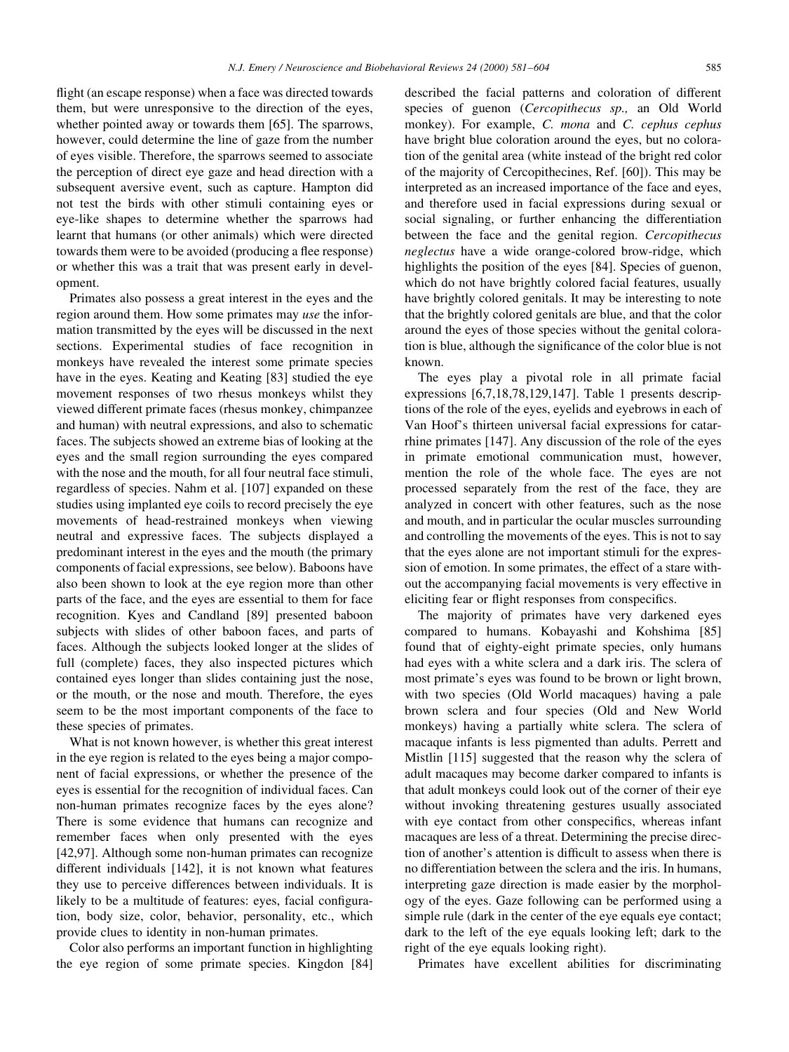flight (an escape response) when a face was directed towards them, but were unresponsive to the direction of the eyes, whether pointed away or towards them [65]. The sparrows, however, could determine the line of gaze from the number of eyes visible. Therefore, the sparrows seemed to associate the perception of direct eye gaze and head direction with a subsequent aversive event, such as capture. Hampton did not test the birds with other stimuli containing eyes or eye-like shapes to determine whether the sparrows had learnt that humans (or other animals) which were directed towards them were to be avoided (producing a flee response) or whether this was a trait that was present early in development.

Primates also possess a great interest in the eyes and the region around them. How some primates may use the information transmitted by the eyes will be discussed in the next sections. Experimental studies of face recognition in monkeys have revealed the interest some primate species have in the eyes. Keating and Keating [83] studied the eye movement responses of two rhesus monkeys whilst they viewed different primate faces (rhesus monkey, chimpanzee and human) with neutral expressions, and also to schematic faces. The subjects showed an extreme bias of looking at the eyes and the small region surrounding the eyes compared with the nose and the mouth, for all four neutral face stimuli, regardless of species. Nahm et al. [107] expanded on these studies using implanted eye coils to record precisely the eye movements of head-restrained monkeys when viewing neutral and expressive faces. The subjects displayed a predominant interest in the eyes and the mouth (the primary components of facial expressions, see below). Baboons have also been shown to look at the eye region more than other parts of the face, and the eyes are essential to them for face recognition. Kyes and Candland [89] presented baboon subjects with slides of other baboon faces, and parts of faces. Although the subjects looked longer at the slides of full (complete) faces, they also inspected pictures which contained eyes longer than slides containing just the nose, or the mouth, or the nose and mouth. Therefore, the eyes seem to be the most important components of the face to these species of primates.

What is not known however, is whether this great interest in the eye region is related to the eyes being a major component of facial expressions, or whether the presence of the eyes is essential for the recognition of individual faces. Can non-human primates recognize faces by the eyes alone? There is some evidence that humans can recognize and remember faces when only presented with the eyes [42,97]. Although some non-human primates can recognize different individuals [142], it is not known what features they use to perceive differences between individuals. It is likely to be a multitude of features: eyes, facial configuration, body size, color, behavior, personality, etc., which provide clues to identity in non-human primates.

Color also performs an important function in highlighting the eye region of some primate species. Kingdon [84] described the facial patterns and coloration of different species of guenon (Cercopithecus sp., an Old World monkey). For example, C. mona and C. cephus cephus have bright blue coloration around the eyes, but no coloration of the genital area (white instead of the bright red color of the majority of Cercopithecines, Ref. [60]). This may be interpreted as an increased importance of the face and eyes, and therefore used in facial expressions during sexual or social signaling, or further enhancing the differentiation between the face and the genital region. Cercopithecus neglectus have a wide orange-colored brow-ridge, which highlights the position of the eyes [84]. Species of guenon, which do not have brightly colored facial features, usually have brightly colored genitals. It may be interesting to note that the brightly colored genitals are blue, and that the color around the eyes of those species without the genital coloration is blue, although the significance of the color blue is not known.

The eyes play a pivotal role in all primate facial expressions [6,7,18,78,129,147]. Table 1 presents descriptions of the role of the eyes, eyelids and eyebrows in each of Van Hoof's thirteen universal facial expressions for catarrhine primates [147]. Any discussion of the role of the eyes in primate emotional communication must, however, mention the role of the whole face. The eyes are not processed separately from the rest of the face, they are analyzed in concert with other features, such as the nose and mouth, and in particular the ocular muscles surrounding and controlling the movements of the eyes. This is not to say that the eyes alone are not important stimuli for the expression of emotion. In some primates, the effect of a stare without the accompanying facial movements is very effective in eliciting fear or flight responses from conspecifics.

The majority of primates have very darkened eyes compared to humans. Kobayashi and Kohshima [85] found that of eighty-eight primate species, only humans had eyes with a white sclera and a dark iris. The sclera of most primate's eyes was found to be brown or light brown, with two species (Old World macaques) having a pale brown sclera and four species (Old and New World monkeys) having a partially white sclera. The sclera of macaque infants is less pigmented than adults. Perrett and Mistlin [115] suggested that the reason why the sclera of adult macaques may become darker compared to infants is that adult monkeys could look out of the corner of their eye without invoking threatening gestures usually associated with eye contact from other conspecifics, whereas infant macaques are less of a threat. Determining the precise direction of another's attention is difficult to assess when there is no differentiation between the sclera and the iris. In humans, interpreting gaze direction is made easier by the morphology of the eyes. Gaze following can be performed using a simple rule (dark in the center of the eye equals eye contact; dark to the left of the eye equals looking left; dark to the right of the eye equals looking right).

Primates have excellent abilities for discriminating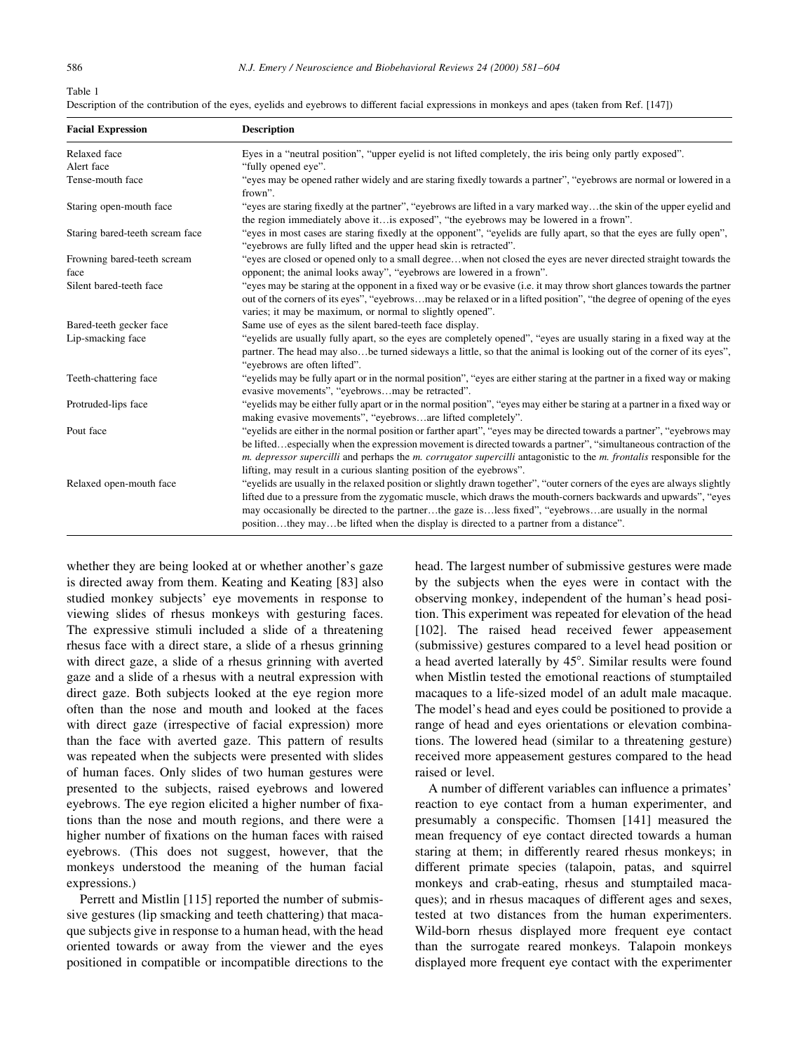Table 1

|  | Description of the contribution of the eyes, eyelids and eyebrows to different facial expressions in monkeys and apes (taken from Ref. [147]) |  |  |  |  |  |
|--|-----------------------------------------------------------------------------------------------------------------------------------------------|--|--|--|--|--|
|  |                                                                                                                                               |  |  |  |  |  |

| <b>Facial Expression</b>            | <b>Description</b>                                                                                                                                                                                                                                                                                                                                                                                                                                               |  |  |  |  |
|-------------------------------------|------------------------------------------------------------------------------------------------------------------------------------------------------------------------------------------------------------------------------------------------------------------------------------------------------------------------------------------------------------------------------------------------------------------------------------------------------------------|--|--|--|--|
| Relaxed face                        | Eyes in a "neutral position", "upper eyelid is not lifted completely, the iris being only partly exposed".                                                                                                                                                                                                                                                                                                                                                       |  |  |  |  |
| Alert face                          | "fully opened eye".                                                                                                                                                                                                                                                                                                                                                                                                                                              |  |  |  |  |
| Tense-mouth face                    | "eyes may be opened rather widely and are staring fixedly towards a partner", "eyebrows are normal or lowered in a<br>frown".                                                                                                                                                                                                                                                                                                                                    |  |  |  |  |
| Staring open-mouth face             | "eyes are staring fixedly at the partner", "eyebrows are lifted in a vary marked waythe skin of the upper eyelid and<br>the region immediately above it is exposed", "the eyebrows may be lowered in a frown".                                                                                                                                                                                                                                                   |  |  |  |  |
| Staring bared-teeth scream face     | "eyes in most cases are staring fixedly at the opponent", "eyelids are fully apart, so that the eyes are fully open",<br>"eyebrows are fully lifted and the upper head skin is retracted".                                                                                                                                                                                                                                                                       |  |  |  |  |
| Frowning bared-teeth scream<br>face | "eyes are closed or opened only to a small degreewhen not closed the eyes are never directed straight towards the<br>opponent; the animal looks away", "eyebrows are lowered in a frown".                                                                                                                                                                                                                                                                        |  |  |  |  |
| Silent bared-teeth face             | "eyes may be staring at the opponent in a fixed way or be evasive (i.e. it may throw short glances towards the partner<br>out of the corners of its eyes", "eyebrowsmay be relaxed or in a lifted position", "the degree of opening of the eyes<br>varies; it may be maximum, or normal to slightly opened".                                                                                                                                                     |  |  |  |  |
| Bared-teeth gecker face             | Same use of eyes as the silent bared-teeth face display.                                                                                                                                                                                                                                                                                                                                                                                                         |  |  |  |  |
| Lip-smacking face                   | "eyelids are usually fully apart, so the eyes are completely opened", "eyes are usually staring in a fixed way at the<br>partner. The head may alsobe turned sideways a little, so that the animal is looking out of the corner of its eyes",<br>"eyebrows are often lifted".                                                                                                                                                                                    |  |  |  |  |
| Teeth-chattering face               | "eyelids may be fully apart or in the normal position", "eyes are either staring at the partner in a fixed way or making<br>evasive movements", "evebrowsmay be retracted".                                                                                                                                                                                                                                                                                      |  |  |  |  |
| Protruded-lips face                 | "eyelids may be either fully apart or in the normal position", "eyes may either be staring at a partner in a fixed way or<br>making evasive movements", "eyebrowsare lifted completely".                                                                                                                                                                                                                                                                         |  |  |  |  |
| Pout face                           | "eyelids are either in the normal position or farther apart", "eyes may be directed towards a partner", "eyebrows may<br>be liftedespecially when the expression movement is directed towards a partner", "simultaneous contraction of the<br><i>m. depressor supercilli</i> and perhaps the <i>m. corrugator supercilli</i> antagonistic to the <i>m. frontalis</i> responsible for the<br>lifting, may result in a curious slanting position of the eyebrows". |  |  |  |  |
| Relaxed open-mouth face             | "eyelids are usually in the relaxed position or slightly drawn together", "outer corners of the eyes are always slightly<br>lifted due to a pressure from the zygomatic muscle, which draws the mouth-corners backwards and upwards", "eyes<br>may occasionally be directed to the partnerthe gaze isless fixed", "eyebrowsare usually in the normal<br>positionthey maybe lifted when the display is directed to a partner from a distance".                    |  |  |  |  |

whether they are being looked at or whether another's gaze is directed away from them. Keating and Keating [83] also studied monkey subjects' eye movements in response to viewing slides of rhesus monkeys with gesturing faces. The expressive stimuli included a slide of a threatening rhesus face with a direct stare, a slide of a rhesus grinning with direct gaze, a slide of a rhesus grinning with averted gaze and a slide of a rhesus with a neutral expression with direct gaze. Both subjects looked at the eye region more often than the nose and mouth and looked at the faces with direct gaze (irrespective of facial expression) more than the face with averted gaze. This pattern of results was repeated when the subjects were presented with slides of human faces. Only slides of two human gestures were presented to the subjects, raised eyebrows and lowered eyebrows. The eye region elicited a higher number of fixations than the nose and mouth regions, and there were a higher number of fixations on the human faces with raised eyebrows. (This does not suggest, however, that the monkeys understood the meaning of the human facial expressions.)

Perrett and Mistlin [115] reported the number of submissive gestures (lip smacking and teeth chattering) that macaque subjects give in response to a human head, with the head oriented towards or away from the viewer and the eyes positioned in compatible or incompatible directions to the head. The largest number of submissive gestures were made by the subjects when the eyes were in contact with the observing monkey, independent of the human's head position. This experiment was repeated for elevation of the head [102]. The raised head received fewer appeasement (submissive) gestures compared to a level head position or a head averted laterally by 45°. Similar results were found when Mistlin tested the emotional reactions of stumptailed macaques to a life-sized model of an adult male macaque. The model's head and eyes could be positioned to provide a range of head and eyes orientations or elevation combinations. The lowered head (similar to a threatening gesture) received more appeasement gestures compared to the head raised or level.

A number of different variables can influence a primates' reaction to eye contact from a human experimenter, and presumably a conspecific. Thomsen [141] measured the mean frequency of eye contact directed towards a human staring at them; in differently reared rhesus monkeys; in different primate species (talapoin, patas, and squirrel monkeys and crab-eating, rhesus and stumptailed macaques); and in rhesus macaques of different ages and sexes, tested at two distances from the human experimenters. Wild-born rhesus displayed more frequent eye contact than the surrogate reared monkeys. Talapoin monkeys displayed more frequent eye contact with the experimenter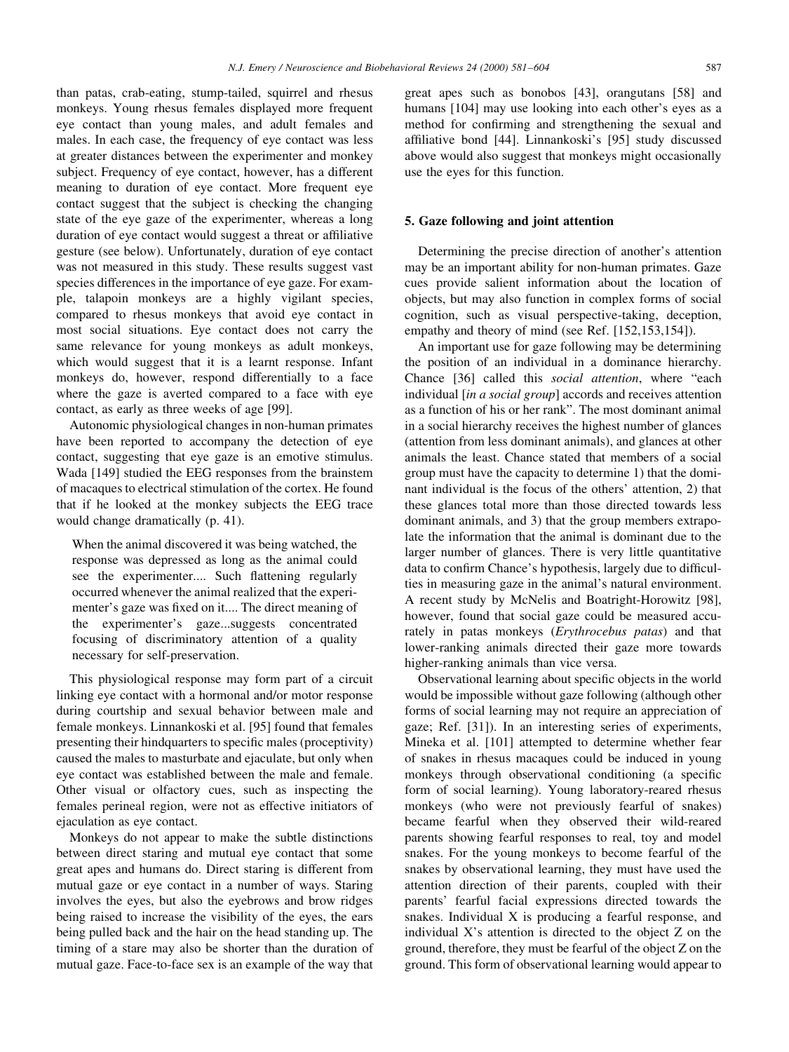than patas, crab-eating, stump-tailed, squirrel and rhesus monkeys. Young rhesus females displayed more frequent eye contact than young males, and adult females and males. In each case, the frequency of eye contact was less at greater distances between the experimenter and monkey subject. Frequency of eye contact, however, has a different meaning to duration of eye contact. More frequent eye contact suggest that the subject is checking the changing state of the eye gaze of the experimenter, whereas a long duration of eye contact would suggest a threat or affiliative gesture (see below). Unfortunately, duration of eye contact was not measured in this study. These results suggest vast species differences in the importance of eye gaze. For example, talapoin monkeys are a highly vigilant species, compared to rhesus monkeys that avoid eye contact in most social situations. Eye contact does not carry the same relevance for young monkeys as adult monkeys, which would suggest that it is a learnt response. Infant monkeys do, however, respond differentially to a face where the gaze is averted compared to a face with eye contact, as early as three weeks of age [99].

Autonomic physiological changes in non-human primates have been reported to accompany the detection of eye contact, suggesting that eye gaze is an emotive stimulus. Wada [149] studied the EEG responses from the brainstem of macaques to electrical stimulation of the cortex. He found that if he looked at the monkey subjects the EEG trace would change dramatically (p. 41).

When the animal discovered it was being watched, the response was depressed as long as the animal could see the experimenter.... Such flattening regularly occurred whenever the animal realized that the experimenter's gaze was fixed on it.... The direct meaning of the experimenter's gaze...suggests concentrated focusing of discriminatory attention of a quality necessary for self-preservation.

This physiological response may form part of a circuit linking eye contact with a hormonal and/or motor response during courtship and sexual behavior between male and female monkeys. Linnankoski et al. [95] found that females presenting their hindquarters to specific males (proceptivity) caused the males to masturbate and ejaculate, but only when eye contact was established between the male and female. Other visual or olfactory cues, such as inspecting the females perineal region, were not as effective initiators of ejaculation as eye contact.

Monkeys do not appear to make the subtle distinctions between direct staring and mutual eye contact that some great apes and humans do. Direct staring is different from mutual gaze or eye contact in a number of ways. Staring involves the eyes, but also the eyebrows and brow ridges being raised to increase the visibility of the eyes, the ears being pulled back and the hair on the head standing up. The timing of a stare may also be shorter than the duration of mutual gaze. Face-to-face sex is an example of the way that

great apes such as bonobos [43], orangutans [58] and humans [104] may use looking into each other's eyes as a method for confirming and strengthening the sexual and affiliative bond [44]. Linnankoski's [95] study discussed above would also suggest that monkeys might occasionally use the eyes for this function.

### 5. Gaze following and joint attention

Determining the precise direction of another's attention may be an important ability for non-human primates. Gaze cues provide salient information about the location of objects, but may also function in complex forms of social cognition, such as visual perspective-taking, deception, empathy and theory of mind (see Ref. [152,153,154]).

An important use for gaze following may be determining the position of an individual in a dominance hierarchy. Chance [36] called this *social attention*, where "each individual [in a social group] accords and receives attention as a function of his or her rankº. The most dominant animal in a social hierarchy receives the highest number of glances (attention from less dominant animals), and glances at other animals the least. Chance stated that members of a social group must have the capacity to determine 1) that the dominant individual is the focus of the others' attention, 2) that these glances total more than those directed towards less dominant animals, and 3) that the group members extrapolate the information that the animal is dominant due to the larger number of glances. There is very little quantitative data to confirm Chance's hypothesis, largely due to difficulties in measuring gaze in the animal's natural environment. A recent study by McNelis and Boatright-Horowitz [98], however, found that social gaze could be measured accurately in patas monkeys (Erythrocebus patas) and that lower-ranking animals directed their gaze more towards higher-ranking animals than vice versa.

Observational learning about specific objects in the world would be impossible without gaze following (although other forms of social learning may not require an appreciation of gaze; Ref. [31]). In an interesting series of experiments, Mineka et al. [101] attempted to determine whether fear of snakes in rhesus macaques could be induced in young monkeys through observational conditioning (a specific form of social learning). Young laboratory-reared rhesus monkeys (who were not previously fearful of snakes) became fearful when they observed their wild-reared parents showing fearful responses to real, toy and model snakes. For the young monkeys to become fearful of the snakes by observational learning, they must have used the attention direction of their parents, coupled with their parents' fearful facial expressions directed towards the snakes. Individual X is producing a fearful response, and individual X's attention is directed to the object Z on the ground, therefore, they must be fearful of the object Z on the ground. This form of observational learning would appear to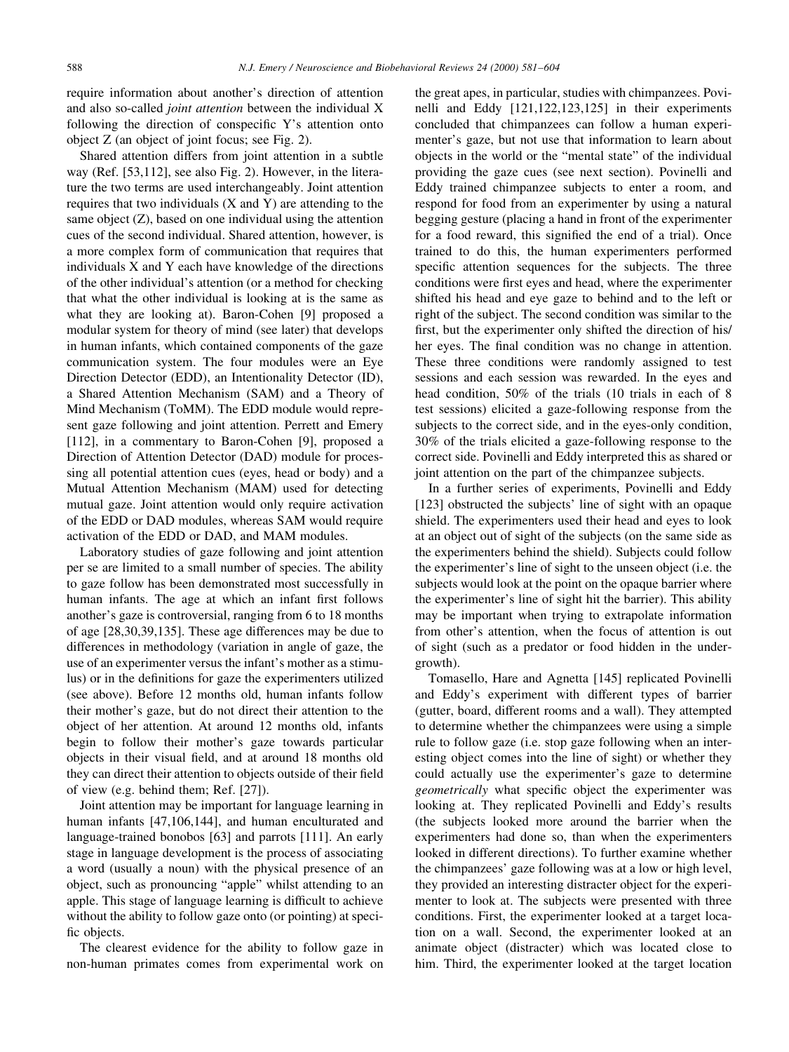require information about another's direction of attention and also so-called joint attention between the individual X following the direction of conspecific Y's attention onto object Z (an object of joint focus; see Fig. 2).

Shared attention differs from joint attention in a subtle way (Ref. [53,112], see also Fig. 2). However, in the literature the two terms are used interchangeably. Joint attention requires that two individuals  $(X \text{ and } Y)$  are attending to the same object (Z), based on one individual using the attention cues of the second individual. Shared attention, however, is a more complex form of communication that requires that individuals X and Y each have knowledge of the directions of the other individual's attention (or a method for checking that what the other individual is looking at is the same as what they are looking at). Baron-Cohen [9] proposed a modular system for theory of mind (see later) that develops in human infants, which contained components of the gaze communication system. The four modules were an Eye Direction Detector (EDD), an Intentionality Detector (ID), a Shared Attention Mechanism (SAM) and a Theory of Mind Mechanism (ToMM). The EDD module would represent gaze following and joint attention. Perrett and Emery [112], in a commentary to Baron-Cohen [9], proposed a Direction of Attention Detector (DAD) module for processing all potential attention cues (eyes, head or body) and a Mutual Attention Mechanism (MAM) used for detecting mutual gaze. Joint attention would only require activation of the EDD or DAD modules, whereas SAM would require activation of the EDD or DAD, and MAM modules.

Laboratory studies of gaze following and joint attention per se are limited to a small number of species. The ability to gaze follow has been demonstrated most successfully in human infants. The age at which an infant first follows another's gaze is controversial, ranging from 6 to 18 months of age [28,30,39,135]. These age differences may be due to differences in methodology (variation in angle of gaze, the use of an experimenter versus the infant's mother as a stimulus) or in the definitions for gaze the experimenters utilized (see above). Before 12 months old, human infants follow their mother's gaze, but do not direct their attention to the object of her attention. At around 12 months old, infants begin to follow their mother's gaze towards particular objects in their visual field, and at around 18 months old they can direct their attention to objects outside of their field of view (e.g. behind them; Ref. [27]).

Joint attention may be important for language learning in human infants [47,106,144], and human enculturated and language-trained bonobos [63] and parrots [111]. An early stage in language development is the process of associating a word (usually a noun) with the physical presence of an object, such as pronouncing ªappleº whilst attending to an apple. This stage of language learning is difficult to achieve without the ability to follow gaze onto (or pointing) at speci fic objects.

The clearest evidence for the ability to follow gaze in non-human primates comes from experimental work on

the great apes, in particular, studies with chimpanzees. Povinelli and Eddy [121,122,123,125] in their experiments concluded that chimpanzees can follow a human experimenter's gaze, but not use that information to learn about objects in the world or the ªmental stateº of the individual providing the gaze cues (see next section). Povinelli and Eddy trained chimpanzee subjects to enter a room, and respond for food from an experimenter by using a natural begging gesture (placing a hand in front of the experimenter for a food reward, this signified the end of a trial). Once trained to do this, the human experimenters performed specific attention sequences for the subjects. The three conditions were first eyes and head, where the experimenter shifted his head and eye gaze to behind and to the left or right of the subject. The second condition was similar to the first, but the experimenter only shifted the direction of his/ her eyes. The final condition was no change in attention. These three conditions were randomly assigned to test sessions and each session was rewarded. In the eyes and head condition, 50% of the trials (10 trials in each of 8 test sessions) elicited a gaze-following response from the subjects to the correct side, and in the eyes-only condition, 30% of the trials elicited a gaze-following response to the correct side. Povinelli and Eddy interpreted this as shared or joint attention on the part of the chimpanzee subjects.

In a further series of experiments, Povinelli and Eddy [123] obstructed the subjects' line of sight with an opaque shield. The experimenters used their head and eyes to look at an object out of sight of the subjects (on the same side as the experimenters behind the shield). Subjects could follow the experimenter's line of sight to the unseen object (i.e. the subjects would look at the point on the opaque barrier where the experimenter's line of sight hit the barrier). This ability may be important when trying to extrapolate information from other's attention, when the focus of attention is out of sight (such as a predator or food hidden in the undergrowth).

Tomasello, Hare and Agnetta [145] replicated Povinelli and Eddy's experiment with different types of barrier (gutter, board, different rooms and a wall). They attempted to determine whether the chimpanzees were using a simple rule to follow gaze (i.e. stop gaze following when an interesting object comes into the line of sight) or whether they could actually use the experimenter's gaze to determine geometrically what specific object the experimenter was looking at. They replicated Povinelli and Eddy's results (the subjects looked more around the barrier when the experimenters had done so, than when the experimenters looked in different directions). To further examine whether the chimpanzees' gaze following was at a low or high level, they provided an interesting distracter object for the experimenter to look at. The subjects were presented with three conditions. First, the experimenter looked at a target location on a wall. Second, the experimenter looked at an animate object (distracter) which was located close to him. Third, the experimenter looked at the target location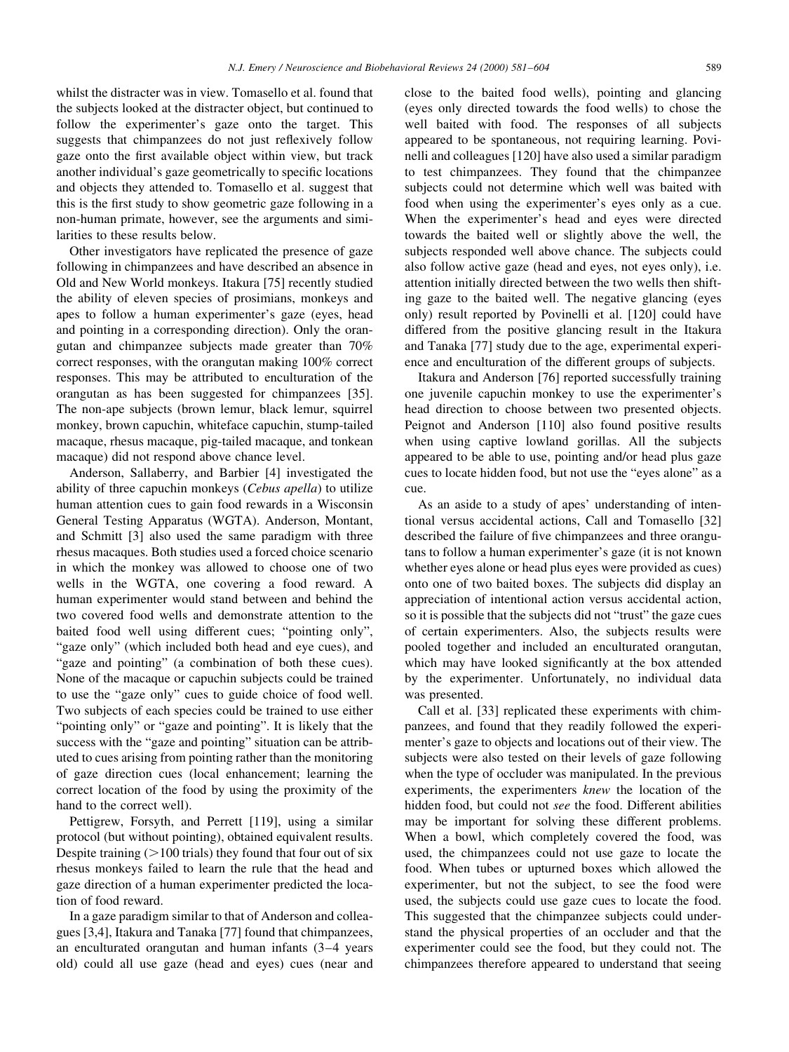whilst the distracter was in view. Tomasello et al. found that the subjects looked at the distracter object, but continued to follow the experimenter's gaze onto the target. This suggests that chimpanzees do not just reflexively follow gaze onto the first available object within view, but track another individual's gaze geometrically to specific locations and objects they attended to. Tomasello et al. suggest that this is the first study to show geometric gaze following in a non-human primate, however, see the arguments and similarities to these results below.

Other investigators have replicated the presence of gaze following in chimpanzees and have described an absence in Old and New World monkeys. Itakura [75] recently studied the ability of eleven species of prosimians, monkeys and apes to follow a human experimenter's gaze (eyes, head and pointing in a corresponding direction). Only the orangutan and chimpanzee subjects made greater than 70% correct responses, with the orangutan making 100% correct responses. This may be attributed to enculturation of the orangutan as has been suggested for chimpanzees [35]. The non-ape subjects (brown lemur, black lemur, squirrel monkey, brown capuchin, whiteface capuchin, stump-tailed macaque, rhesus macaque, pig-tailed macaque, and tonkean macaque) did not respond above chance level.

Anderson, Sallaberry, and Barbier [4] investigated the ability of three capuchin monkeys (Cebus apella) to utilize human attention cues to gain food rewards in a Wisconsin General Testing Apparatus (WGTA). Anderson, Montant, and Schmitt [3] also used the same paradigm with three rhesus macaques. Both studies used a forced choice scenario in which the monkey was allowed to choose one of two wells in the WGTA, one covering a food reward. A human experimenter would stand between and behind the two covered food wells and demonstrate attention to the baited food well using different cues; "pointing only", "gaze only" (which included both head and eye cues), and "gaze and pointing" (a combination of both these cues). None of the macaque or capuchin subjects could be trained to use the "gaze only" cues to guide choice of food well. Two subjects of each species could be trained to use either "pointing only" or "gaze and pointing". It is likely that the success with the "gaze and pointing" situation can be attributed to cues arising from pointing rather than the monitoring of gaze direction cues (local enhancement; learning the correct location of the food by using the proximity of the hand to the correct well).

Pettigrew, Forsyth, and Perrett [119], using a similar protocol (but without pointing), obtained equivalent results. Despite training  $(>100 \text{ trials})$  they found that four out of six rhesus monkeys failed to learn the rule that the head and gaze direction of a human experimenter predicted the location of food reward.

In a gaze paradigm similar to that of Anderson and colleagues [3,4], Itakura and Tanaka [77] found that chimpanzees, an enculturated orangutan and human infants  $(3-4$  years old) could all use gaze (head and eyes) cues (near and close to the baited food wells), pointing and glancing (eyes only directed towards the food wells) to chose the well baited with food. The responses of all subjects appeared to be spontaneous, not requiring learning. Povinelli and colleagues [120] have also used a similar paradigm to test chimpanzees. They found that the chimpanzee subjects could not determine which well was baited with food when using the experimenter's eyes only as a cue. When the experimenter's head and eyes were directed towards the baited well or slightly above the well, the subjects responded well above chance. The subjects could also follow active gaze (head and eyes, not eyes only), i.e. attention initially directed between the two wells then shifting gaze to the baited well. The negative glancing (eyes only) result reported by Povinelli et al. [120] could have differed from the positive glancing result in the Itakura and Tanaka [77] study due to the age, experimental experience and enculturation of the different groups of subjects.

Itakura and Anderson [76] reported successfully training one juvenile capuchin monkey to use the experimenter's head direction to choose between two presented objects. Peignot and Anderson [110] also found positive results when using captive lowland gorillas. All the subjects appeared to be able to use, pointing and/or head plus gaze cues to locate hidden food, but not use the "eyes alone" as a cue.

As an aside to a study of apes' understanding of intentional versus accidental actions, Call and Tomasello [32] described the failure of five chimpanzees and three orangutans to follow a human experimenter's gaze (it is not known whether eyes alone or head plus eyes were provided as cues) onto one of two baited boxes. The subjects did display an appreciation of intentional action versus accidental action, so it is possible that the subjects did not "trust" the gaze cues of certain experimenters. Also, the subjects results were pooled together and included an enculturated orangutan, which may have looked significantly at the box attended by the experimenter. Unfortunately, no individual data was presented.

Call et al. [33] replicated these experiments with chimpanzees, and found that they readily followed the experimenter's gaze to objects and locations out of their view. The subjects were also tested on their levels of gaze following when the type of occluder was manipulated. In the previous experiments, the experimenters knew the location of the hidden food, but could not see the food. Different abilities may be important for solving these different problems. When a bowl, which completely covered the food, was used, the chimpanzees could not use gaze to locate the food. When tubes or upturned boxes which allowed the experimenter, but not the subject, to see the food were used, the subjects could use gaze cues to locate the food. This suggested that the chimpanzee subjects could understand the physical properties of an occluder and that the experimenter could see the food, but they could not. The chimpanzees therefore appeared to understand that seeing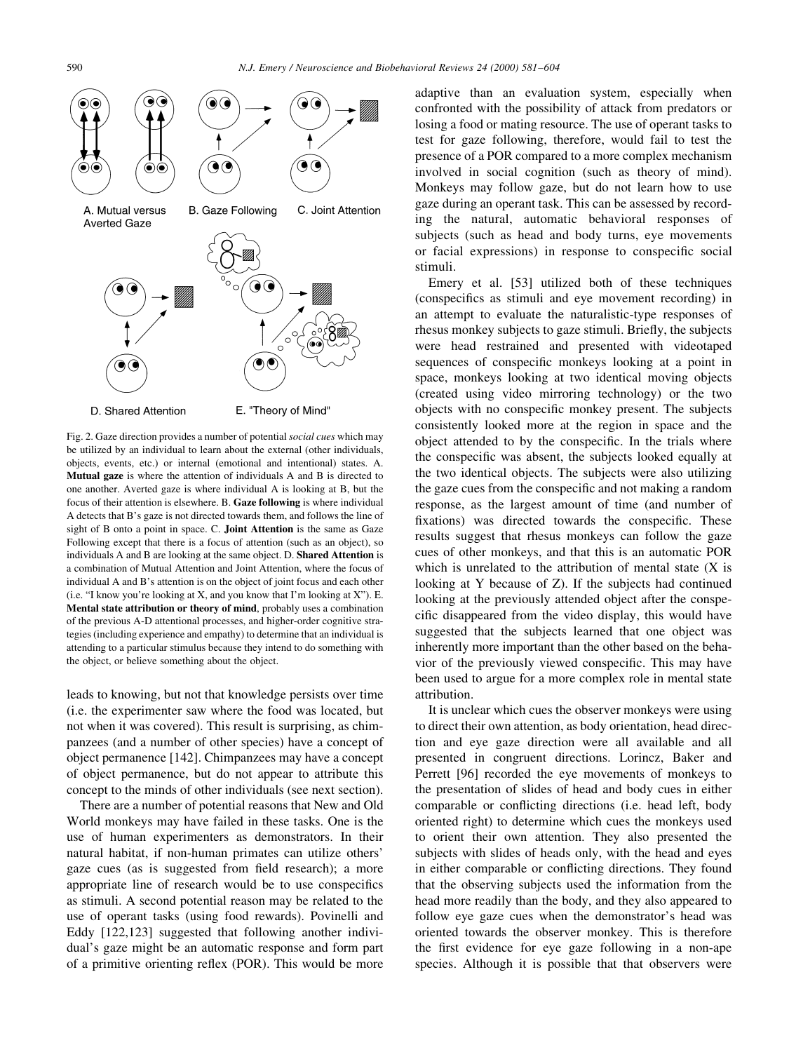

Fig. 2. Gaze direction provides a number of potential social cues which may be utilized by an individual to learn about the external (other individuals, objects, events, etc.) or internal (emotional and intentional) states. A. Mutual gaze is where the attention of individuals A and B is directed to one another. Averted gaze is where individual A is looking at B, but the focus of their attention is elsewhere. B. Gaze following is where individual A detects that B's gaze is not directed towards them, and follows the line of sight of B onto a point in space. C. Joint Attention is the same as Gaze Following except that there is a focus of attention (such as an object), so individuals A and B are looking at the same object. D. Shared Attention is a combination of Mutual Attention and Joint Attention, where the focus of individual A and B's attention is on the object of joint focus and each other (i.e. "I know you're looking at X, and you know that I'm looking at X"). E. Mental state attribution or theory of mind, probably uses a combination of the previous A-D attentional processes, and higher-order cognitive strategies (including experience and empathy) to determine that an individual is attending to a particular stimulus because they intend to do something with the object, or believe something about the object.

leads to knowing, but not that knowledge persists over time (i.e. the experimenter saw where the food was located, but not when it was covered). This result is surprising, as chimpanzees (and a number of other species) have a concept of object permanence [142]. Chimpanzees may have a concept of object permanence, but do not appear to attribute this concept to the minds of other individuals (see next section).

There are a number of potential reasons that New and Old World monkeys may have failed in these tasks. One is the use of human experimenters as demonstrators. In their natural habitat, if non-human primates can utilize others' gaze cues (as is suggested from field research); a more appropriate line of research would be to use conspecifics as stimuli. A second potential reason may be related to the use of operant tasks (using food rewards). Povinelli and Eddy [122,123] suggested that following another individual's gaze might be an automatic response and form part of a primitive orienting reflex (POR). This would be more adaptive than an evaluation system, especially when confronted with the possibility of attack from predators or losing a food or mating resource. The use of operant tasks to test for gaze following, therefore, would fail to test the presence of a POR compared to a more complex mechanism involved in social cognition (such as theory of mind). Monkeys may follow gaze, but do not learn how to use gaze during an operant task. This can be assessed by recording the natural, automatic behavioral responses of subjects (such as head and body turns, eye movements or facial expressions) in response to conspecific social stimuli.

Emery et al. [53] utilized both of these techniques (conspecifics as stimuli and eye movement recording) in an attempt to evaluate the naturalistic-type responses of rhesus monkey subjects to gaze stimuli. Briefly, the subjects were head restrained and presented with videotaped sequences of conspecific monkeys looking at a point in space, monkeys looking at two identical moving objects (created using video mirroring technology) or the two objects with no conspecific monkey present. The subjects consistently looked more at the region in space and the object attended to by the conspecific. In the trials where the conspecific was absent, the subjects looked equally at the two identical objects. The subjects were also utilizing the gaze cues from the conspecific and not making a random response, as the largest amount of time (and number of fixations) was directed towards the conspecific. These results suggest that rhesus monkeys can follow the gaze cues of other monkeys, and that this is an automatic POR which is unrelated to the attribution of mental state (X is looking at Y because of Z). If the subjects had continued looking at the previously attended object after the conspecific disappeared from the video display, this would have suggested that the subjects learned that one object was inherently more important than the other based on the behavior of the previously viewed conspecific. This may have been used to argue for a more complex role in mental state attribution.

It is unclear which cues the observer monkeys were using to direct their own attention, as body orientation, head direction and eye gaze direction were all available and all presented in congruent directions. Lorincz, Baker and Perrett [96] recorded the eye movements of monkeys to the presentation of slides of head and body cues in either comparable or conflicting directions (i.e. head left, body oriented right) to determine which cues the monkeys used to orient their own attention. They also presented the subjects with slides of heads only, with the head and eyes in either comparable or conflicting directions. They found that the observing subjects used the information from the head more readily than the body, and they also appeared to follow eye gaze cues when the demonstrator's head was oriented towards the observer monkey. This is therefore the first evidence for eye gaze following in a non-ape species. Although it is possible that that observers were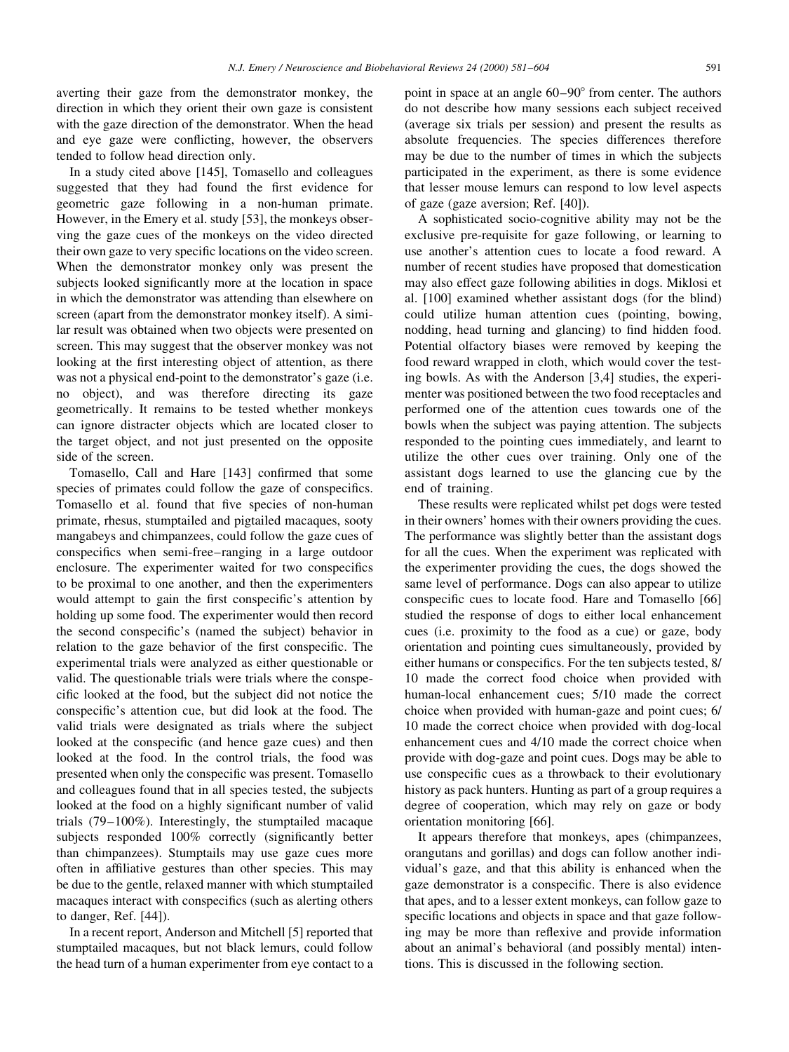averting their gaze from the demonstrator monkey, the direction in which they orient their own gaze is consistent with the gaze direction of the demonstrator. When the head and eye gaze were conflicting, however, the observers tended to follow head direction only.

In a study cited above [145], Tomasello and colleagues suggested that they had found the first evidence for geometric gaze following in a non-human primate. However, in the Emery et al. study [53], the monkeys observing the gaze cues of the monkeys on the video directed their own gaze to very specific locations on the video screen. When the demonstrator monkey only was present the subjects looked significantly more at the location in space in which the demonstrator was attending than elsewhere on screen (apart from the demonstrator monkey itself). A similar result was obtained when two objects were presented on screen. This may suggest that the observer monkey was not looking at the first interesting object of attention, as there was not a physical end-point to the demonstrator's gaze (i.e. no object), and was therefore directing its gaze geometrically. It remains to be tested whether monkeys can ignore distracter objects which are located closer to the target object, and not just presented on the opposite side of the screen.

Tomasello, Call and Hare [143] confirmed that some species of primates could follow the gaze of conspecifics. Tomasello et al. found that five species of non-human primate, rhesus, stumptailed and pigtailed macaques, sooty mangabeys and chimpanzees, could follow the gaze cues of conspecifics when semi-free-ranging in a large outdoor enclosure. The experimenter waited for two conspecifics to be proximal to one another, and then the experimenters would attempt to gain the first conspecific's attention by holding up some food. The experimenter would then record the second conspecific's (named the subject) behavior in relation to the gaze behavior of the first conspecific. The experimental trials were analyzed as either questionable or valid. The questionable trials were trials where the conspecific looked at the food, but the subject did not notice the conspecific's attention cue, but did look at the food. The valid trials were designated as trials where the subject looked at the conspecific (and hence gaze cues) and then looked at the food. In the control trials, the food was presented when only the conspecific was present. Tomasello and colleagues found that in all species tested, the subjects looked at the food on a highly significant number of valid trials  $(79-100\%)$ . Interestingly, the stumptailed macaque subjects responded 100% correctly (significantly better than chimpanzees). Stumptails may use gaze cues more often in affiliative gestures than other species. This may be due to the gentle, relaxed manner with which stumptailed macaques interact with conspecifics (such as alerting others to danger, Ref. [44]).

In a recent report, Anderson and Mitchell [5] reported that stumptailed macaques, but not black lemurs, could follow the head turn of a human experimenter from eye contact to a

point in space at an angle  $60-90^\circ$  from center. The authors do not describe how many sessions each subject received (average six trials per session) and present the results as absolute frequencies. The species differences therefore may be due to the number of times in which the subjects participated in the experiment, as there is some evidence that lesser mouse lemurs can respond to low level aspects of gaze (gaze aversion; Ref. [40]).

A sophisticated socio-cognitive ability may not be the exclusive pre-requisite for gaze following, or learning to use another's attention cues to locate a food reward. A number of recent studies have proposed that domestication may also effect gaze following abilities in dogs. Miklosi et al. [100] examined whether assistant dogs (for the blind) could utilize human attention cues (pointing, bowing, nodding, head turning and glancing) to find hidden food. Potential olfactory biases were removed by keeping the food reward wrapped in cloth, which would cover the testing bowls. As with the Anderson [3,4] studies, the experimenter was positioned between the two food receptacles and performed one of the attention cues towards one of the bowls when the subject was paying attention. The subjects responded to the pointing cues immediately, and learnt to utilize the other cues over training. Only one of the assistant dogs learned to use the glancing cue by the end of training.

These results were replicated whilst pet dogs were tested in their owners' homes with their owners providing the cues. The performance was slightly better than the assistant dogs for all the cues. When the experiment was replicated with the experimenter providing the cues, the dogs showed the same level of performance. Dogs can also appear to utilize conspecific cues to locate food. Hare and Tomasello [66] studied the response of dogs to either local enhancement cues (i.e. proximity to the food as a cue) or gaze, body orientation and pointing cues simultaneously, provided by either humans or conspecifics. For the ten subjects tested, 8/ 10 made the correct food choice when provided with human-local enhancement cues; 5/10 made the correct choice when provided with human-gaze and point cues; 6/ 10 made the correct choice when provided with dog-local enhancement cues and 4/10 made the correct choice when provide with dog-gaze and point cues. Dogs may be able to use conspecific cues as a throwback to their evolutionary history as pack hunters. Hunting as part of a group requires a degree of cooperation, which may rely on gaze or body orientation monitoring [66].

It appears therefore that monkeys, apes (chimpanzees, orangutans and gorillas) and dogs can follow another individual's gaze, and that this ability is enhanced when the gaze demonstrator is a conspecific. There is also evidence that apes, and to a lesser extent monkeys, can follow gaze to specific locations and objects in space and that gaze following may be more than reflexive and provide information about an animal's behavioral (and possibly mental) intentions. This is discussed in the following section.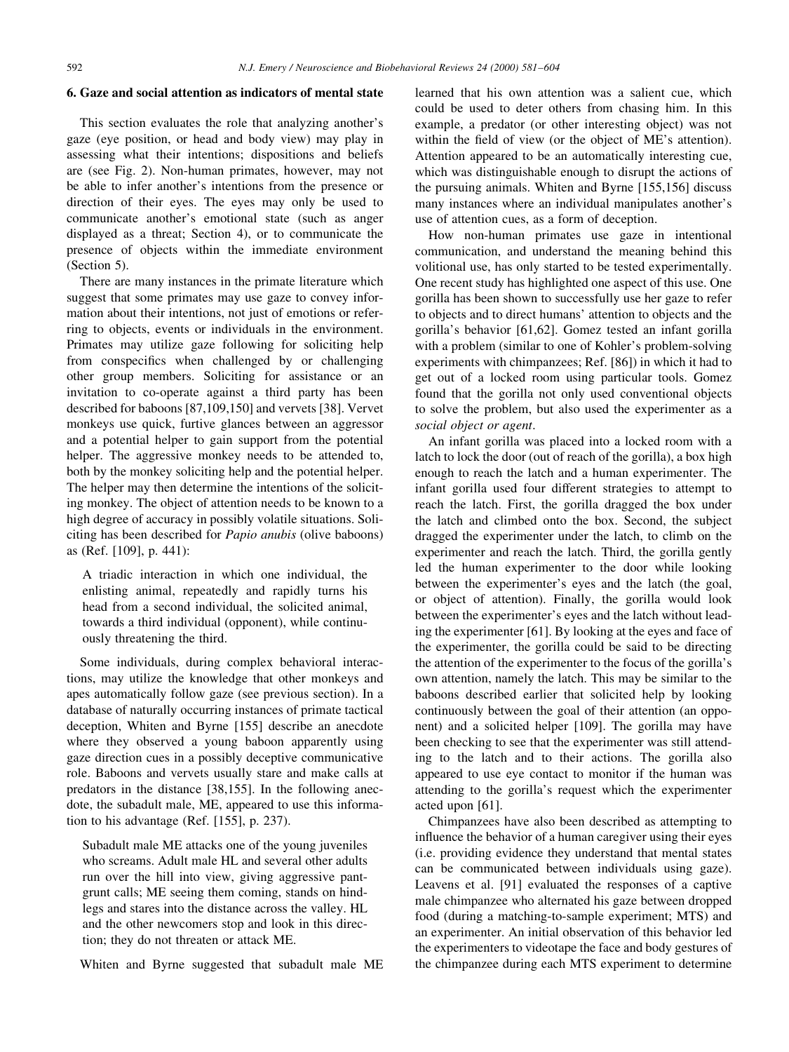#### 6. Gaze and social attention as indicators of mental state

This section evaluates the role that analyzing another's gaze (eye position, or head and body view) may play in assessing what their intentions; dispositions and beliefs are (see Fig. 2). Non-human primates, however, may not be able to infer another's intentions from the presence or direction of their eyes. The eyes may only be used to communicate another's emotional state (such as anger displayed as a threat; Section 4), or to communicate the presence of objects within the immediate environment (Section 5).

There are many instances in the primate literature which suggest that some primates may use gaze to convey information about their intentions, not just of emotions or referring to objects, events or individuals in the environment. Primates may utilize gaze following for soliciting help from conspecifics when challenged by or challenging other group members. Soliciting for assistance or an invitation to co-operate against a third party has been described for baboons [87,109,150] and vervets [38]. Vervet monkeys use quick, furtive glances between an aggressor and a potential helper to gain support from the potential helper. The aggressive monkey needs to be attended to, both by the monkey soliciting help and the potential helper. The helper may then determine the intentions of the soliciting monkey. The object of attention needs to be known to a high degree of accuracy in possibly volatile situations. Soliciting has been described for Papio anubis (olive baboons) as (Ref. [109], p. 441):

A triadic interaction in which one individual, the enlisting animal, repeatedly and rapidly turns his head from a second individual, the solicited animal, towards a third individual (opponent), while continuously threatening the third.

Some individuals, during complex behavioral interactions, may utilize the knowledge that other monkeys and apes automatically follow gaze (see previous section). In a database of naturally occurring instances of primate tactical deception, Whiten and Byrne [155] describe an anecdote where they observed a young baboon apparently using gaze direction cues in a possibly deceptive communicative role. Baboons and vervets usually stare and make calls at predators in the distance [38,155]. In the following anecdote, the subadult male, ME, appeared to use this information to his advantage (Ref. [155], p. 237).

Subadult male ME attacks one of the young juveniles who screams. Adult male HL and several other adults run over the hill into view, giving aggressive pantgrunt calls; ME seeing them coming, stands on hindlegs and stares into the distance across the valley. HL and the other newcomers stop and look in this direction; they do not threaten or attack ME.

Whiten and Byrne suggested that subadult male ME

learned that his own attention was a salient cue, which could be used to deter others from chasing him. In this example, a predator (or other interesting object) was not within the field of view (or the object of ME's attention). Attention appeared to be an automatically interesting cue, which was distinguishable enough to disrupt the actions of the pursuing animals. Whiten and Byrne [155,156] discuss many instances where an individual manipulates another's use of attention cues, as a form of deception.

How non-human primates use gaze in intentional communication, and understand the meaning behind this volitional use, has only started to be tested experimentally. One recent study has highlighted one aspect of this use. One gorilla has been shown to successfully use her gaze to refer to objects and to direct humans' attention to objects and the gorilla's behavior [61,62]. Gomez tested an infant gorilla with a problem (similar to one of Kohler's problem-solving experiments with chimpanzees; Ref. [86]) in which it had to get out of a locked room using particular tools. Gomez found that the gorilla not only used conventional objects to solve the problem, but also used the experimenter as a social object or agent.

An infant gorilla was placed into a locked room with a latch to lock the door (out of reach of the gorilla), a box high enough to reach the latch and a human experimenter. The infant gorilla used four different strategies to attempt to reach the latch. First, the gorilla dragged the box under the latch and climbed onto the box. Second, the subject dragged the experimenter under the latch, to climb on the experimenter and reach the latch. Third, the gorilla gently led the human experimenter to the door while looking between the experimenter's eyes and the latch (the goal, or object of attention). Finally, the gorilla would look between the experimenter's eyes and the latch without leading the experimenter [61]. By looking at the eyes and face of the experimenter, the gorilla could be said to be directing the attention of the experimenter to the focus of the gorilla's own attention, namely the latch. This may be similar to the baboons described earlier that solicited help by looking continuously between the goal of their attention (an opponent) and a solicited helper [109]. The gorilla may have been checking to see that the experimenter was still attending to the latch and to their actions. The gorilla also appeared to use eye contact to monitor if the human was attending to the gorilla's request which the experimenter acted upon [61].

Chimpanzees have also been described as attempting to influence the behavior of a human caregiver using their eyes (i.e. providing evidence they understand that mental states can be communicated between individuals using gaze). Leavens et al. [91] evaluated the responses of a captive male chimpanzee who alternated his gaze between dropped food (during a matching-to-sample experiment; MTS) and an experimenter. An initial observation of this behavior led the experimenters to videotape the face and body gestures of the chimpanzee during each MTS experiment to determine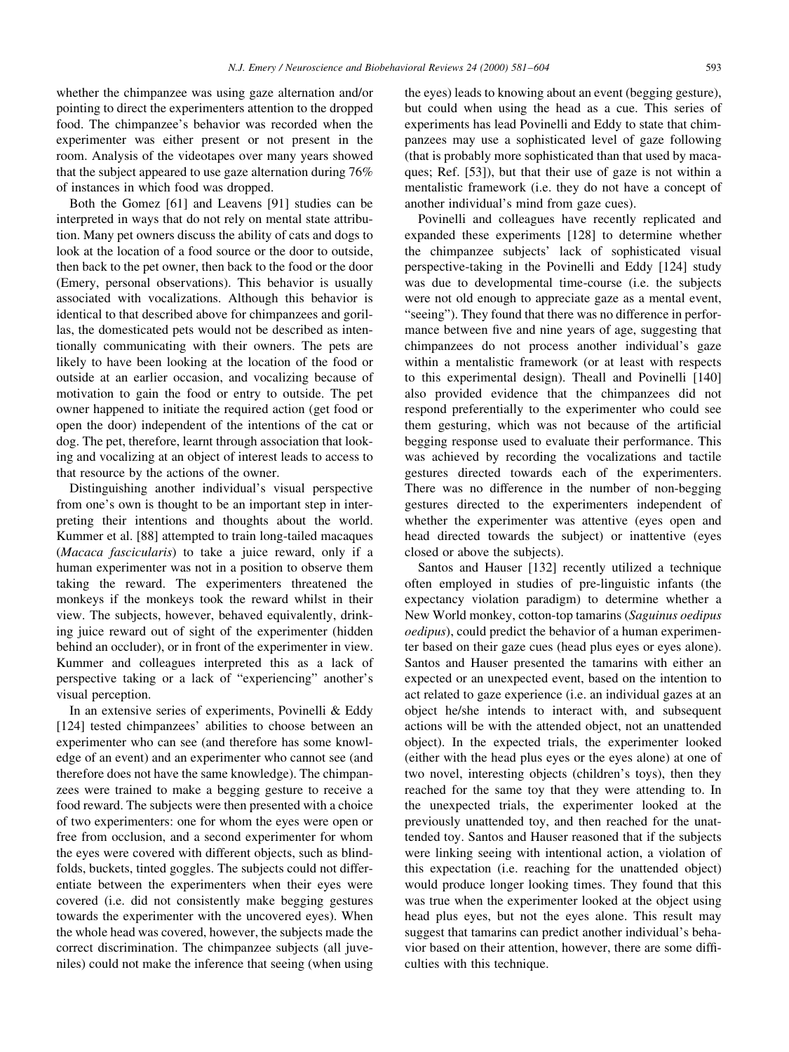whether the chimpanzee was using gaze alternation and/or pointing to direct the experimenters attention to the dropped food. The chimpanzee's behavior was recorded when the experimenter was either present or not present in the room. Analysis of the videotapes over many years showed that the subject appeared to use gaze alternation during 76% of instances in which food was dropped.

Both the Gomez [61] and Leavens [91] studies can be interpreted in ways that do not rely on mental state attribution. Many pet owners discuss the ability of cats and dogs to look at the location of a food source or the door to outside, then back to the pet owner, then back to the food or the door (Emery, personal observations). This behavior is usually associated with vocalizations. Although this behavior is identical to that described above for chimpanzees and gorillas, the domesticated pets would not be described as intentionally communicating with their owners. The pets are likely to have been looking at the location of the food or outside at an earlier occasion, and vocalizing because of motivation to gain the food or entry to outside. The pet owner happened to initiate the required action (get food or open the door) independent of the intentions of the cat or dog. The pet, therefore, learnt through association that looking and vocalizing at an object of interest leads to access to that resource by the actions of the owner.

Distinguishing another individual's visual perspective from one's own is thought to be an important step in interpreting their intentions and thoughts about the world. Kummer et al. [88] attempted to train long-tailed macaques (Macaca fascicularis) to take a juice reward, only if a human experimenter was not in a position to observe them taking the reward. The experimenters threatened the monkeys if the monkeys took the reward whilst in their view. The subjects, however, behaved equivalently, drinking juice reward out of sight of the experimenter (hidden behind an occluder), or in front of the experimenter in view. Kummer and colleagues interpreted this as a lack of perspective taking or a lack of "experiencing" another's visual perception.

In an extensive series of experiments, Povinelli & Eddy [124] tested chimpanzees' abilities to choose between an experimenter who can see (and therefore has some knowledge of an event) and an experimenter who cannot see (and therefore does not have the same knowledge). The chimpanzees were trained to make a begging gesture to receive a food reward. The subjects were then presented with a choice of two experimenters: one for whom the eyes were open or free from occlusion, and a second experimenter for whom the eyes were covered with different objects, such as blindfolds, buckets, tinted goggles. The subjects could not differentiate between the experimenters when their eyes were covered (i.e. did not consistently make begging gestures towards the experimenter with the uncovered eyes). When the whole head was covered, however, the subjects made the correct discrimination. The chimpanzee subjects (all juveniles) could not make the inference that seeing (when using

the eyes) leads to knowing about an event (begging gesture), but could when using the head as a cue. This series of experiments has lead Povinelli and Eddy to state that chimpanzees may use a sophisticated level of gaze following (that is probably more sophisticated than that used by macaques; Ref. [53]), but that their use of gaze is not within a mentalistic framework (i.e. they do not have a concept of another individual's mind from gaze cues).

Povinelli and colleagues have recently replicated and expanded these experiments [128] to determine whether the chimpanzee subjects' lack of sophisticated visual perspective-taking in the Povinelli and Eddy [124] study was due to developmental time-course (i.e. the subjects were not old enough to appreciate gaze as a mental event, "seeing"). They found that there was no difference in performance between five and nine years of age, suggesting that chimpanzees do not process another individual's gaze within a mentalistic framework (or at least with respects to this experimental design). Theall and Povinelli [140] also provided evidence that the chimpanzees did not respond preferentially to the experimenter who could see them gesturing, which was not because of the artificial begging response used to evaluate their performance. This was achieved by recording the vocalizations and tactile gestures directed towards each of the experimenters. There was no difference in the number of non-begging gestures directed to the experimenters independent of whether the experimenter was attentive (eyes open and head directed towards the subject) or inattentive (eyes closed or above the subjects).

Santos and Hauser [132] recently utilized a technique often employed in studies of pre-linguistic infants (the expectancy violation paradigm) to determine whether a New World monkey, cotton-top tamarins (Saguinus oedipus oedipus), could predict the behavior of a human experimenter based on their gaze cues (head plus eyes or eyes alone). Santos and Hauser presented the tamarins with either an expected or an unexpected event, based on the intention to act related to gaze experience (i.e. an individual gazes at an object he/she intends to interact with, and subsequent actions will be with the attended object, not an unattended object). In the expected trials, the experimenter looked (either with the head plus eyes or the eyes alone) at one of two novel, interesting objects (children's toys), then they reached for the same toy that they were attending to. In the unexpected trials, the experimenter looked at the previously unattended toy, and then reached for the unattended toy. Santos and Hauser reasoned that if the subjects were linking seeing with intentional action, a violation of this expectation (i.e. reaching for the unattended object) would produce longer looking times. They found that this was true when the experimenter looked at the object using head plus eyes, but not the eyes alone. This result may suggest that tamarins can predict another individual's behavior based on their attention, however, there are some difficulties with this technique.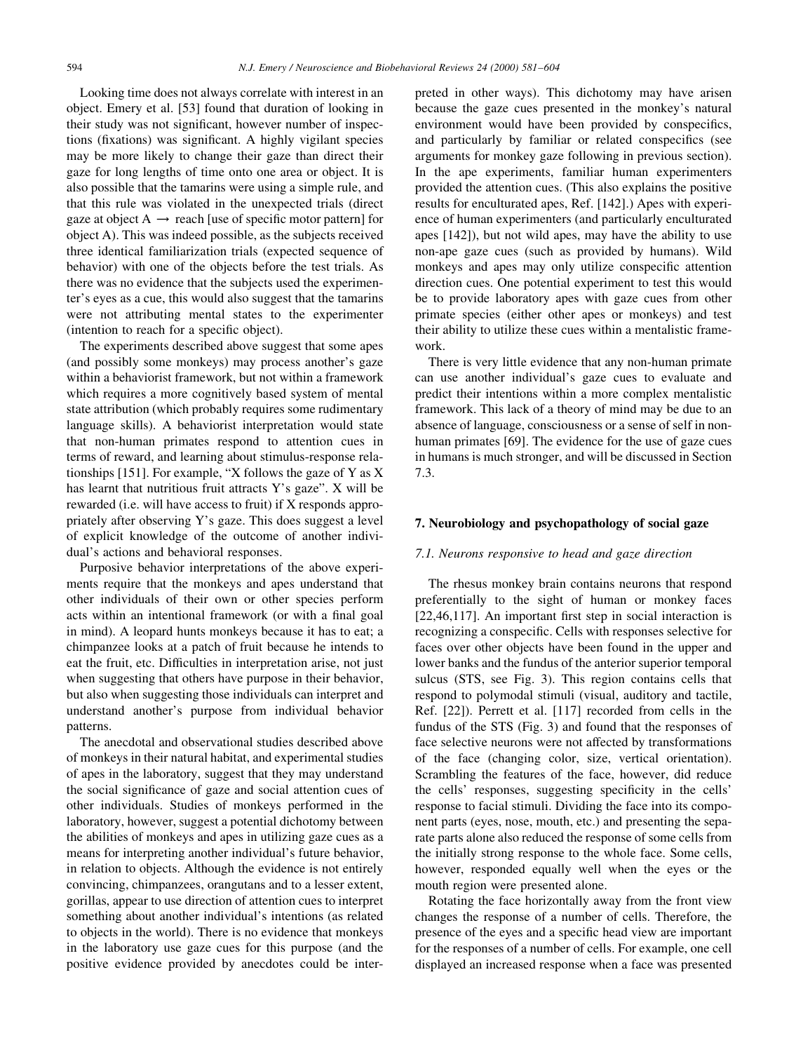Looking time does not always correlate with interest in an object. Emery et al. [53] found that duration of looking in their study was not significant, however number of inspections (fixations) was significant. A highly vigilant species may be more likely to change their gaze than direct their gaze for long lengths of time onto one area or object. It is also possible that the tamarins were using a simple rule, and that this rule was violated in the unexpected trials (direct gaze at object  $A \rightarrow$  reach [use of specific motor pattern] for object A). This was indeed possible, as the subjects received three identical familiarization trials (expected sequence of behavior) with one of the objects before the test trials. As there was no evidence that the subjects used the experimenter's eyes as a cue, this would also suggest that the tamarins were not attributing mental states to the experimenter (intention to reach for a specific object).

The experiments described above suggest that some apes (and possibly some monkeys) may process another's gaze within a behaviorist framework, but not within a framework which requires a more cognitively based system of mental state attribution (which probably requires some rudimentary language skills). A behaviorist interpretation would state that non-human primates respond to attention cues in terms of reward, and learning about stimulus-response relationships [151]. For example, "X follows the gaze of Y as X has learnt that nutritious fruit attracts  $Y$ 's gaze".  $X$  will be rewarded (i.e. will have access to fruit) if X responds appropriately after observing Y's gaze. This does suggest a level of explicit knowledge of the outcome of another individual's actions and behavioral responses.

Purposive behavior interpretations of the above experiments require that the monkeys and apes understand that other individuals of their own or other species perform acts within an intentional framework (or with a final goal in mind). A leopard hunts monkeys because it has to eat; a chimpanzee looks at a patch of fruit because he intends to eat the fruit, etc. Difficulties in interpretation arise, not just when suggesting that others have purpose in their behavior, but also when suggesting those individuals can interpret and understand another's purpose from individual behavior patterns.

The anecdotal and observational studies described above of monkeys in their natural habitat, and experimental studies of apes in the laboratory, suggest that they may understand the social significance of gaze and social attention cues of other individuals. Studies of monkeys performed in the laboratory, however, suggest a potential dichotomy between the abilities of monkeys and apes in utilizing gaze cues as a means for interpreting another individual's future behavior, in relation to objects. Although the evidence is not entirely convincing, chimpanzees, orangutans and to a lesser extent, gorillas, appear to use direction of attention cues to interpret something about another individual's intentions (as related to objects in the world). There is no evidence that monkeys in the laboratory use gaze cues for this purpose (and the positive evidence provided by anecdotes could be interpreted in other ways). This dichotomy may have arisen because the gaze cues presented in the monkey's natural environment would have been provided by conspecifics, and particularly by familiar or related conspecifics (see arguments for monkey gaze following in previous section). In the ape experiments, familiar human experimenters provided the attention cues. (This also explains the positive results for enculturated apes, Ref. [142].) Apes with experience of human experimenters (and particularly enculturated apes [142]), but not wild apes, may have the ability to use non-ape gaze cues (such as provided by humans). Wild monkeys and apes may only utilize conspecific attention direction cues. One potential experiment to test this would be to provide laboratory apes with gaze cues from other primate species (either other apes or monkeys) and test their ability to utilize these cues within a mentalistic framework.

There is very little evidence that any non-human primate can use another individual's gaze cues to evaluate and predict their intentions within a more complex mentalistic framework. This lack of a theory of mind may be due to an absence of language, consciousness or a sense of self in nonhuman primates [69]. The evidence for the use of gaze cues in humans is much stronger, and will be discussed in Section 7.3.

#### 7. Neurobiology and psychopathology of social gaze

#### 7.1. Neurons responsive to head and gaze direction

The rhesus monkey brain contains neurons that respond preferentially to the sight of human or monkey faces  $[22,46,117]$ . An important first step in social interaction is recognizing a conspecific. Cells with responses selective for faces over other objects have been found in the upper and lower banks and the fundus of the anterior superior temporal sulcus (STS, see Fig. 3). This region contains cells that respond to polymodal stimuli (visual, auditory and tactile, Ref. [22]). Perrett et al. [117] recorded from cells in the fundus of the STS (Fig. 3) and found that the responses of face selective neurons were not affected by transformations of the face (changing color, size, vertical orientation). Scrambling the features of the face, however, did reduce the cells' responses, suggesting specificity in the cells' response to facial stimuli. Dividing the face into its component parts (eyes, nose, mouth, etc.) and presenting the separate parts alone also reduced the response of some cells from the initially strong response to the whole face. Some cells, however, responded equally well when the eyes or the mouth region were presented alone.

Rotating the face horizontally away from the front view changes the response of a number of cells. Therefore, the presence of the eyes and a specific head view are important for the responses of a number of cells. For example, one cell displayed an increased response when a face was presented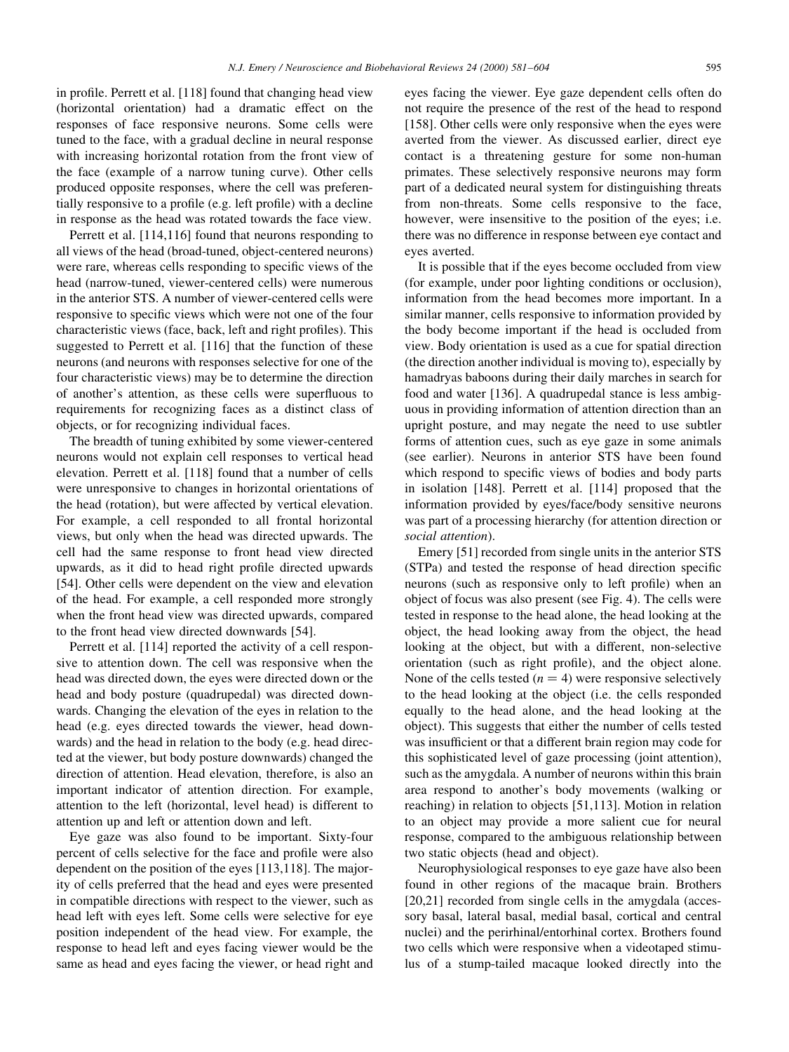in profile. Perrett et al. [118] found that changing head view (horizontal orientation) had a dramatic effect on the responses of face responsive neurons. Some cells were tuned to the face, with a gradual decline in neural response with increasing horizontal rotation from the front view of the face (example of a narrow tuning curve). Other cells produced opposite responses, where the cell was preferentially responsive to a profile (e.g. left profile) with a decline in response as the head was rotated towards the face view.

Perrett et al. [114,116] found that neurons responding to all views of the head (broad-tuned, object-centered neurons) were rare, whereas cells responding to specific views of the head (narrow-tuned, viewer-centered cells) were numerous in the anterior STS. A number of viewer-centered cells were responsive to specific views which were not one of the four characteristic views (face, back, left and right profiles). This suggested to Perrett et al. [116] that the function of these neurons (and neurons with responses selective for one of the four characteristic views) may be to determine the direction of another's attention, as these cells were superfluous to requirements for recognizing faces as a distinct class of objects, or for recognizing individual faces.

The breadth of tuning exhibited by some viewer-centered neurons would not explain cell responses to vertical head elevation. Perrett et al. [118] found that a number of cells were unresponsive to changes in horizontal orientations of the head (rotation), but were affected by vertical elevation. For example, a cell responded to all frontal horizontal views, but only when the head was directed upwards. The cell had the same response to front head view directed upwards, as it did to head right profile directed upwards [54]. Other cells were dependent on the view and elevation of the head. For example, a cell responded more strongly when the front head view was directed upwards, compared to the front head view directed downwards [54].

Perrett et al. [114] reported the activity of a cell responsive to attention down. The cell was responsive when the head was directed down, the eyes were directed down or the head and body posture (quadrupedal) was directed downwards. Changing the elevation of the eyes in relation to the head (e.g. eyes directed towards the viewer, head downwards) and the head in relation to the body (e.g. head directed at the viewer, but body posture downwards) changed the direction of attention. Head elevation, therefore, is also an important indicator of attention direction. For example, attention to the left (horizontal, level head) is different to attention up and left or attention down and left.

Eye gaze was also found to be important. Sixty-four percent of cells selective for the face and profile were also dependent on the position of the eyes [113,118]. The majority of cells preferred that the head and eyes were presented in compatible directions with respect to the viewer, such as head left with eyes left. Some cells were selective for eye position independent of the head view. For example, the response to head left and eyes facing viewer would be the same as head and eyes facing the viewer, or head right and

eyes facing the viewer. Eye gaze dependent cells often do not require the presence of the rest of the head to respond [158]. Other cells were only responsive when the eyes were averted from the viewer. As discussed earlier, direct eye contact is a threatening gesture for some non-human primates. These selectively responsive neurons may form part of a dedicated neural system for distinguishing threats from non-threats. Some cells responsive to the face, however, were insensitive to the position of the eyes; i.e. there was no difference in response between eye contact and eyes averted.

It is possible that if the eyes become occluded from view (for example, under poor lighting conditions or occlusion), information from the head becomes more important. In a similar manner, cells responsive to information provided by the body become important if the head is occluded from view. Body orientation is used as a cue for spatial direction (the direction another individual is moving to), especially by hamadryas baboons during their daily marches in search for food and water [136]. A quadrupedal stance is less ambiguous in providing information of attention direction than an upright posture, and may negate the need to use subtler forms of attention cues, such as eye gaze in some animals (see earlier). Neurons in anterior STS have been found which respond to specific views of bodies and body parts in isolation [148]. Perrett et al. [114] proposed that the information provided by eyes/face/body sensitive neurons was part of a processing hierarchy (for attention direction or social attention).

Emery [51] recorded from single units in the anterior STS (STPa) and tested the response of head direction specific neurons (such as responsive only to left profile) when an object of focus was also present (see Fig. 4). The cells were tested in response to the head alone, the head looking at the object, the head looking away from the object, the head looking at the object, but with a different, non-selective orientation (such as right profile), and the object alone. None of the cells tested  $(n = 4)$  were responsive selectively to the head looking at the object (i.e. the cells responded equally to the head alone, and the head looking at the object). This suggests that either the number of cells tested was insufficient or that a different brain region may code for this sophisticated level of gaze processing (joint attention), such as the amygdala. A number of neurons within this brain area respond to another's body movements (walking or reaching) in relation to objects [51,113]. Motion in relation to an object may provide a more salient cue for neural response, compared to the ambiguous relationship between two static objects (head and object).

Neurophysiological responses to eye gaze have also been found in other regions of the macaque brain. Brothers [20,21] recorded from single cells in the amygdala (accessory basal, lateral basal, medial basal, cortical and central nuclei) and the perirhinal/entorhinal cortex. Brothers found two cells which were responsive when a videotaped stimulus of a stump-tailed macaque looked directly into the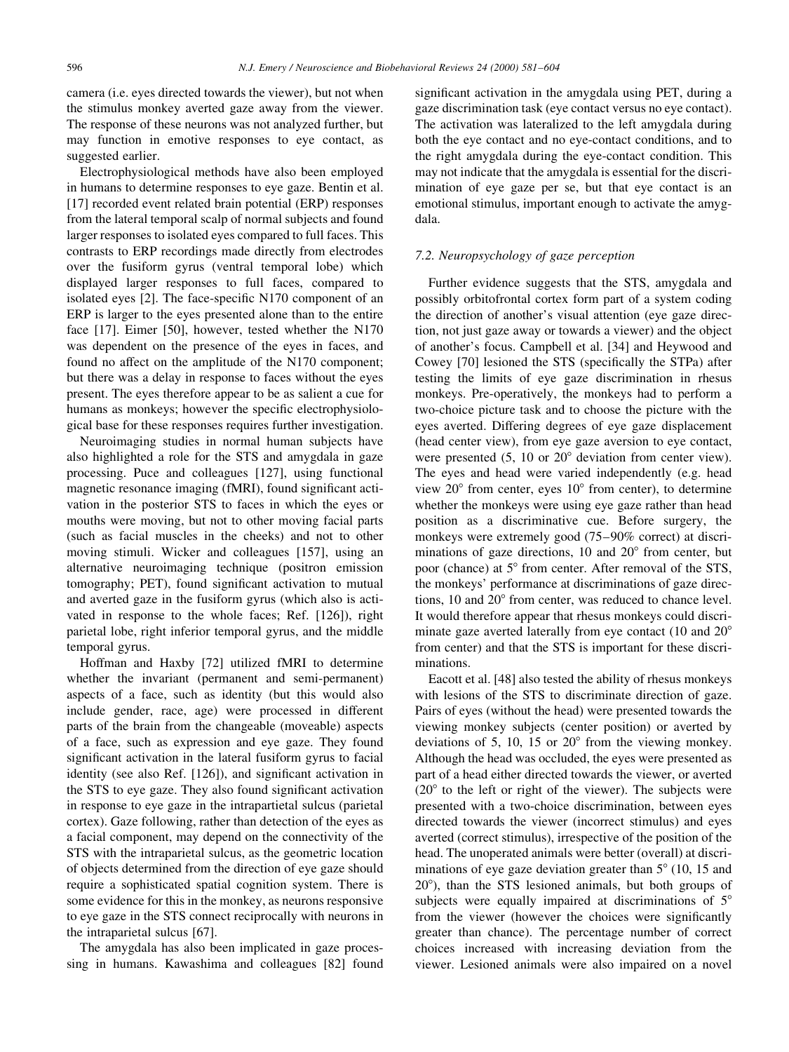camera (i.e. eyes directed towards the viewer), but not when the stimulus monkey averted gaze away from the viewer. The response of these neurons was not analyzed further, but may function in emotive responses to eye contact, as suggested earlier.

Electrophysiological methods have also been employed in humans to determine responses to eye gaze. Bentin et al. [17] recorded event related brain potential (ERP) responses from the lateral temporal scalp of normal subjects and found larger responses to isolated eyes compared to full faces. This contrasts to ERP recordings made directly from electrodes over the fusiform gyrus (ventral temporal lobe) which displayed larger responses to full faces, compared to isolated eyes  $[2]$ . The face-specific N170 component of an ERP is larger to the eyes presented alone than to the entire face [17]. Eimer [50], however, tested whether the N170 was dependent on the presence of the eyes in faces, and found no affect on the amplitude of the N170 component; but there was a delay in response to faces without the eyes present. The eyes therefore appear to be as salient a cue for humans as monkeys; however the specific electrophysiological base for these responses requires further investigation.

Neuroimaging studies in normal human subjects have also highlighted a role for the STS and amygdala in gaze processing. Puce and colleagues [127], using functional magnetic resonance imaging (fMRI), found significant activation in the posterior STS to faces in which the eyes or mouths were moving, but not to other moving facial parts (such as facial muscles in the cheeks) and not to other moving stimuli. Wicker and colleagues [157], using an alternative neuroimaging technique (positron emission tomography; PET), found significant activation to mutual and averted gaze in the fusiform gyrus (which also is activated in response to the whole faces; Ref. [126]), right parietal lobe, right inferior temporal gyrus, and the middle temporal gyrus.

Hoffman and Haxby [72] utilized fMRI to determine whether the invariant (permanent and semi-permanent) aspects of a face, such as identity (but this would also include gender, race, age) were processed in different parts of the brain from the changeable (moveable) aspects of a face, such as expression and eye gaze. They found significant activation in the lateral fusiform gyrus to facial identity (see also Ref.  $[126]$ ), and significant activation in the STS to eye gaze. They also found significant activation in response to eye gaze in the intrapartietal sulcus (parietal cortex). Gaze following, rather than detection of the eyes as a facial component, may depend on the connectivity of the STS with the intraparietal sulcus, as the geometric location of objects determined from the direction of eye gaze should require a sophisticated spatial cognition system. There is some evidence for this in the monkey, as neurons responsive to eye gaze in the STS connect reciprocally with neurons in the intraparietal sulcus [67].

The amygdala has also been implicated in gaze processing in humans. Kawashima and colleagues [82] found significant activation in the amygdala using PET, during a gaze discrimination task (eye contact versus no eye contact). The activation was lateralized to the left amygdala during both the eye contact and no eye-contact conditions, and to the right amygdala during the eye-contact condition. This may not indicate that the amygdala is essential for the discrimination of eye gaze per se, but that eye contact is an emotional stimulus, important enough to activate the amygdala.

#### 7.2. Neuropsychology of gaze perception

Further evidence suggests that the STS, amygdala and possibly orbitofrontal cortex form part of a system coding the direction of another's visual attention (eye gaze direction, not just gaze away or towards a viewer) and the object of another's focus. Campbell et al. [34] and Heywood and Cowey [70] lesioned the STS (specifically the STPa) after testing the limits of eye gaze discrimination in rhesus monkeys. Pre-operatively, the monkeys had to perform a two-choice picture task and to choose the picture with the eyes averted. Differing degrees of eye gaze displacement (head center view), from eye gaze aversion to eye contact, were presented  $(5, 10 \text{ or } 20^{\circ}$  deviation from center view). The eyes and head were varied independently (e.g. head view  $20^{\circ}$  from center, eyes  $10^{\circ}$  from center), to determine whether the monkeys were using eye gaze rather than head position as a discriminative cue. Before surgery, the monkeys were extremely good (75-90% correct) at discriminations of gaze directions,  $10$  and  $20^{\circ}$  from center, but poor (chance) at  $5^\circ$  from center. After removal of the STS, the monkeys' performance at discriminations of gaze directions,  $10$  and  $20^{\circ}$  from center, was reduced to chance level. It would therefore appear that rhesus monkeys could discriminate gaze averted laterally from eye contact  $(10 \text{ and } 20^{\circ})$ from center) and that the STS is important for these discriminations.

Eacott et al. [48] also tested the ability of rhesus monkeys with lesions of the STS to discriminate direction of gaze. Pairs of eyes (without the head) were presented towards the viewing monkey subjects (center position) or averted by deviations of 5, 10, 15 or  $20^{\circ}$  from the viewing monkey. Although the head was occluded, the eyes were presented as part of a head either directed towards the viewer, or averted  $(20^{\circ}$  to the left or right of the viewer). The subjects were presented with a two-choice discrimination, between eyes directed towards the viewer (incorrect stimulus) and eyes averted (correct stimulus), irrespective of the position of the head. The unoperated animals were better (overall) at discriminations of eye gaze deviation greater than  $5^{\circ}$  (10, 15 and  $20^{\circ}$ ), than the STS lesioned animals, but both groups of subjects were equally impaired at discriminations of  $5^\circ$ from the viewer (however the choices were significantly greater than chance). The percentage number of correct choices increased with increasing deviation from the viewer. Lesioned animals were also impaired on a novel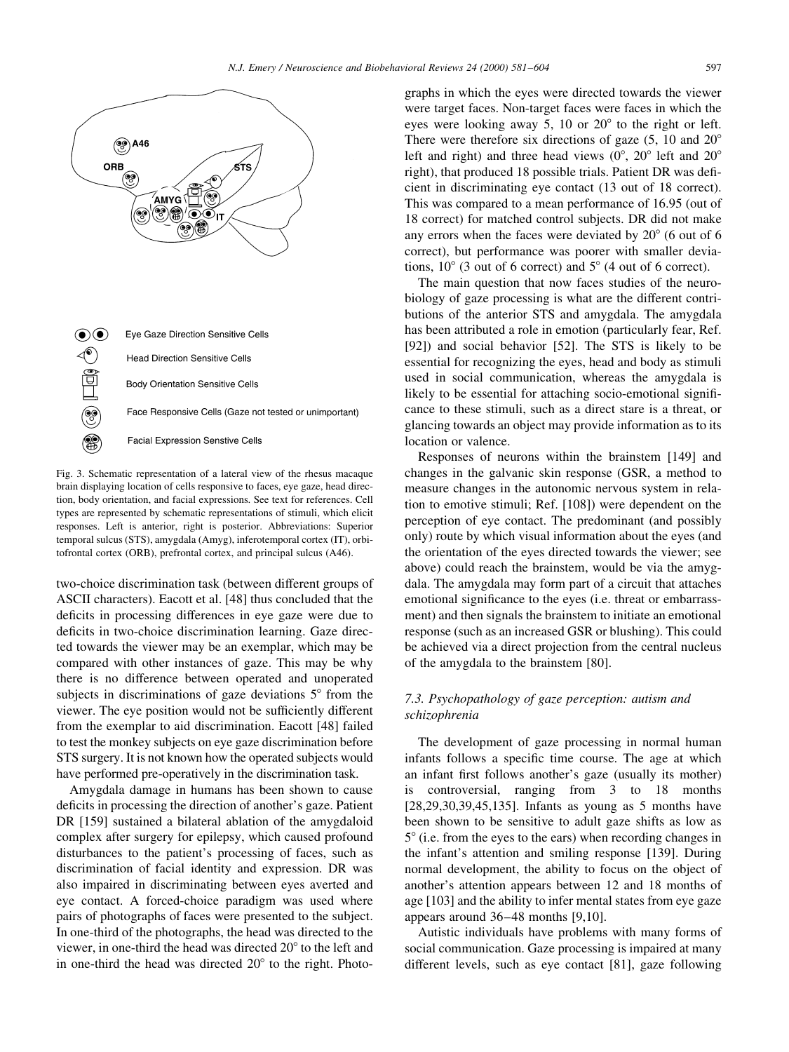

Fig. 3. Schematic representation of a lateral view of the rhesus macaque brain displaying location of cells responsive to faces, eye gaze, head direction, body orientation, and facial expressions. See text for references. Cell types are represented by schematic representations of stimuli, which elicit responses. Left is anterior, right is posterior. Abbreviations: Superior temporal sulcus (STS), amygdala (Amyg), inferotemporal cortex (IT), orbitofrontal cortex (ORB), prefrontal cortex, and principal sulcus (A46).

two-choice discrimination task (between different groups of ASCII characters). Eacott et al. [48] thus concluded that the deficits in processing differences in eye gaze were due to deficits in two-choice discrimination learning. Gaze directed towards the viewer may be an exemplar, which may be compared with other instances of gaze. This may be why there is no difference between operated and unoperated subjects in discriminations of gaze deviations  $5^\circ$  from the viewer. The eye position would not be sufficiently different from the exemplar to aid discrimination. Eacott [48] failed to test the monkey subjects on eye gaze discrimination before STS surgery. It is not known how the operated subjects would have performed pre-operatively in the discrimination task.

Amygdala damage in humans has been shown to cause deficits in processing the direction of another's gaze. Patient DR [159] sustained a bilateral ablation of the amygdaloid complex after surgery for epilepsy, which caused profound disturbances to the patient's processing of faces, such as discrimination of facial identity and expression. DR was also impaired in discriminating between eyes averted and eye contact. A forced-choice paradigm was used where pairs of photographs of faces were presented to the subject. In one-third of the photographs, the head was directed to the viewer, in one-third the head was directed 20° to the left and in one-third the head was directed  $20^{\circ}$  to the right. Photographs in which the eyes were directed towards the viewer were target faces. Non-target faces were faces in which the eyes were looking away 5, 10 or  $20^{\circ}$  to the right or left. There were therefore six directions of gaze  $(5, 10, 20^{\circ})$ left and right) and three head views  $(0^{\circ}, 20^{\circ})$  left and  $20^{\circ}$ right), that produced 18 possible trials. Patient DR was deficient in discriminating eye contact (13 out of 18 correct). This was compared to a mean performance of 16.95 (out of 18 correct) for matched control subjects. DR did not make any errors when the faces were deviated by  $20^{\circ}$  (6 out of 6 correct), but performance was poorer with smaller deviations,  $10^{\circ}$  (3 out of 6 correct) and  $5^{\circ}$  (4 out of 6 correct).

The main question that now faces studies of the neurobiology of gaze processing is what are the different contributions of the anterior STS and amygdala. The amygdala has been attributed a role in emotion (particularly fear, Ref. [92]) and social behavior [52]. The STS is likely to be essential for recognizing the eyes, head and body as stimuli used in social communication, whereas the amygdala is likely to be essential for attaching socio-emotional significance to these stimuli, such as a direct stare is a threat, or glancing towards an object may provide information as to its location or valence.

Responses of neurons within the brainstem [149] and changes in the galvanic skin response (GSR, a method to measure changes in the autonomic nervous system in relation to emotive stimuli; Ref. [108]) were dependent on the perception of eye contact. The predominant (and possibly only) route by which visual information about the eyes (and the orientation of the eyes directed towards the viewer; see above) could reach the brainstem, would be via the amygdala. The amygdala may form part of a circuit that attaches emotional significance to the eyes (i.e. threat or embarrassment) and then signals the brainstem to initiate an emotional response (such as an increased GSR or blushing). This could be achieved via a direct projection from the central nucleus of the amygdala to the brainstem [80].

# 7.3. Psychopathology of gaze perception: autism and schizophrenia

The development of gaze processing in normal human infants follows a specific time course. The age at which an infant first follows another's gaze (usually its mother) is controversial, ranging from 3 to 18 months [28,29,30,39,45,135]. Infants as young as 5 months have been shown to be sensitive to adult gaze shifts as low as  $5^{\circ}$  (i.e. from the eyes to the ears) when recording changes in the infant's attention and smiling response [139]. During normal development, the ability to focus on the object of another's attention appears between 12 and 18 months of age [103] and the ability to infer mental states from eye gaze appears around  $36-48$  months [9,10].

Autistic individuals have problems with many forms of social communication. Gaze processing is impaired at many different levels, such as eye contact [81], gaze following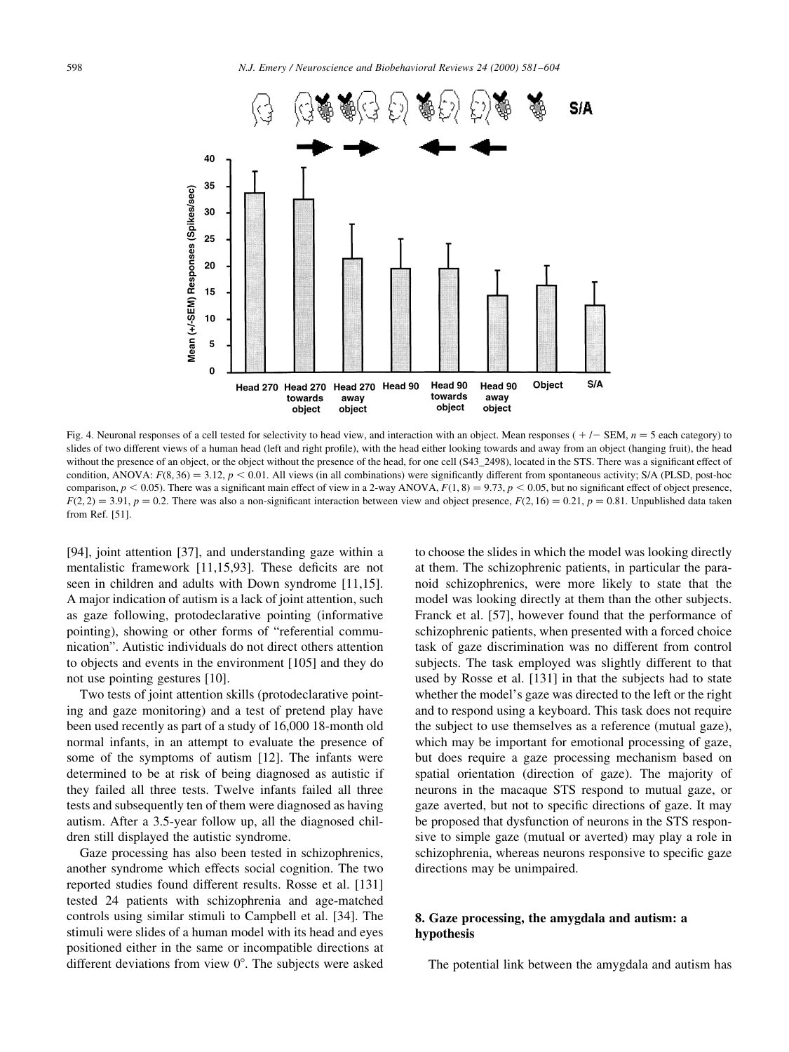

Fig. 4. Neuronal responses of a cell tested for selectivity to head view, and interaction with an object. Mean responses  $( +/- SEM, n = 5$  each category) to slides of two different views of a human head (left and right profile), with the head either looking towards and away from an object (hanging fruit), the head without the presence of an object, or the object without the presence of the head, for one cell (S43\_2498), located in the STS. There was a significant effect of condition, ANOVA:  $F(8, 36) = 3.12$ ,  $p < 0.01$ . All views (in all combinations) were significantly different from spontaneous activity; S/A (PLSD, post-hoc comparison,  $p < 0.05$ ). There was a significant main effect of view in a 2-way ANOVA,  $F(1, 8) = 9.73$ ,  $p < 0.05$ , but no significant effect of object presence,  $F(2, 2) = 3.91$ ,  $p = 0.2$ . There was also a non-significant interaction between view and object presence,  $F(2, 16) = 0.21$ ,  $p = 0.81$ . Unpublished data taken from Ref. [51].

[94], joint attention [37], and understanding gaze within a mentalistic framework  $[11,15,93]$ . These deficits are not seen in children and adults with Down syndrome [11,15]. A major indication of autism is a lack of joint attention, such as gaze following, protodeclarative pointing (informative pointing), showing or other forms of "referential communicationº. Autistic individuals do not direct others attention to objects and events in the environment [105] and they do not use pointing gestures [10].

Two tests of joint attention skills (protodeclarative pointing and gaze monitoring) and a test of pretend play have been used recently as part of a study of 16,000 18-month old normal infants, in an attempt to evaluate the presence of some of the symptoms of autism [12]. The infants were determined to be at risk of being diagnosed as autistic if they failed all three tests. Twelve infants failed all three tests and subsequently ten of them were diagnosed as having autism. After a 3.5-year follow up, all the diagnosed children still displayed the autistic syndrome.

Gaze processing has also been tested in schizophrenics, another syndrome which effects social cognition. The two reported studies found different results. Rosse et al. [131] tested 24 patients with schizophrenia and age-matched controls using similar stimuli to Campbell et al. [34]. The stimuli were slides of a human model with its head and eyes positioned either in the same or incompatible directions at different deviations from view  $0^\circ$ . The subjects were asked to choose the slides in which the model was looking directly at them. The schizophrenic patients, in particular the paranoid schizophrenics, were more likely to state that the model was looking directly at them than the other subjects. Franck et al. [57], however found that the performance of schizophrenic patients, when presented with a forced choice task of gaze discrimination was no different from control subjects. The task employed was slightly different to that used by Rosse et al. [131] in that the subjects had to state whether the model's gaze was directed to the left or the right and to respond using a keyboard. This task does not require the subject to use themselves as a reference (mutual gaze), which may be important for emotional processing of gaze, but does require a gaze processing mechanism based on spatial orientation (direction of gaze). The majority of neurons in the macaque STS respond to mutual gaze, or gaze averted, but not to specific directions of gaze. It may be proposed that dysfunction of neurons in the STS responsive to simple gaze (mutual or averted) may play a role in schizophrenia, whereas neurons responsive to specific gaze directions may be unimpaired.

# 8. Gaze processing, the amygdala and autism: a hypothesis

The potential link between the amygdala and autism has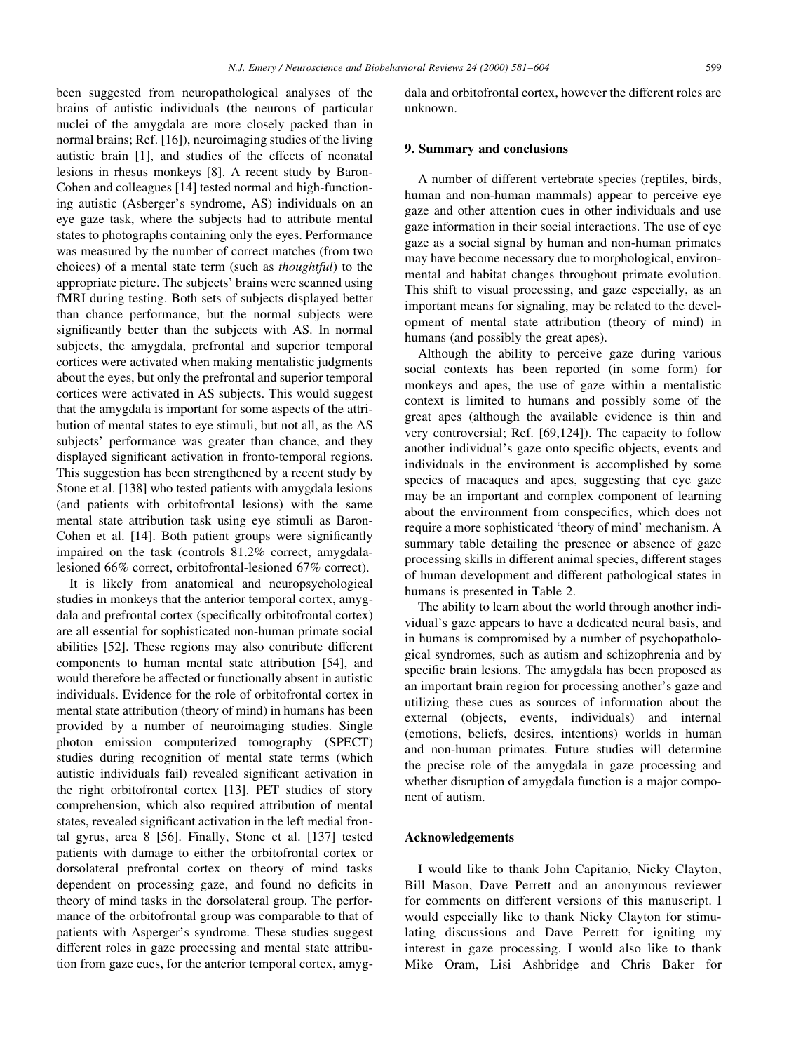been suggested from neuropathological analyses of the brains of autistic individuals (the neurons of particular nuclei of the amygdala are more closely packed than in normal brains; Ref. [16]), neuroimaging studies of the living autistic brain [1], and studies of the effects of neonatal lesions in rhesus monkeys [8]. A recent study by Baron-Cohen and colleagues [14] tested normal and high-functioning autistic (Asberger's syndrome, AS) individuals on an eye gaze task, where the subjects had to attribute mental states to photographs containing only the eyes. Performance was measured by the number of correct matches (from two choices) of a mental state term (such as thoughtful) to the appropriate picture. The subjects' brains were scanned using fMRI during testing. Both sets of subjects displayed better than chance performance, but the normal subjects were significantly better than the subjects with AS. In normal subjects, the amygdala, prefrontal and superior temporal cortices were activated when making mentalistic judgments about the eyes, but only the prefrontal and superior temporal cortices were activated in AS subjects. This would suggest that the amygdala is important for some aspects of the attribution of mental states to eye stimuli, but not all, as the AS subjects' performance was greater than chance, and they displayed significant activation in fronto-temporal regions. This suggestion has been strengthened by a recent study by Stone et al. [138] who tested patients with amygdala lesions (and patients with orbitofrontal lesions) with the same mental state attribution task using eye stimuli as Baron-Cohen et al. [14]. Both patient groups were significantly impaired on the task (controls 81.2% correct, amygdalalesioned 66% correct, orbitofrontal-lesioned 67% correct).

It is likely from anatomical and neuropsychological studies in monkeys that the anterior temporal cortex, amygdala and prefrontal cortex (specifically orbitofrontal cortex) are all essential for sophisticated non-human primate social abilities [52]. These regions may also contribute different components to human mental state attribution [54], and would therefore be affected or functionally absent in autistic individuals. Evidence for the role of orbitofrontal cortex in mental state attribution (theory of mind) in humans has been provided by a number of neuroimaging studies. Single photon emission computerized tomography (SPECT) studies during recognition of mental state terms (which autistic individuals fail) revealed significant activation in the right orbitofrontal cortex [13]. PET studies of story comprehension, which also required attribution of mental states, revealed significant activation in the left medial frontal gyrus, area 8 [56]. Finally, Stone et al. [137] tested patients with damage to either the orbitofrontal cortex or dorsolateral prefrontal cortex on theory of mind tasks dependent on processing gaze, and found no deficits in theory of mind tasks in the dorsolateral group. The performance of the orbitofrontal group was comparable to that of patients with Asperger's syndrome. These studies suggest different roles in gaze processing and mental state attribution from gaze cues, for the anterior temporal cortex, amygdala and orbitofrontal cortex, however the different roles are unknown.

## 9. Summary and conclusions

A number of different vertebrate species (reptiles, birds, human and non-human mammals) appear to perceive eye gaze and other attention cues in other individuals and use gaze information in their social interactions. The use of eye gaze as a social signal by human and non-human primates may have become necessary due to morphological, environmental and habitat changes throughout primate evolution. This shift to visual processing, and gaze especially, as an important means for signaling, may be related to the development of mental state attribution (theory of mind) in humans (and possibly the great apes).

Although the ability to perceive gaze during various social contexts has been reported (in some form) for monkeys and apes, the use of gaze within a mentalistic context is limited to humans and possibly some of the great apes (although the available evidence is thin and very controversial; Ref. [69,124]). The capacity to follow another individual's gaze onto specific objects, events and individuals in the environment is accomplished by some species of macaques and apes, suggesting that eye gaze may be an important and complex component of learning about the environment from conspecifics, which does not require a more sophisticated 'theory of mind' mechanism. A summary table detailing the presence or absence of gaze processing skills in different animal species, different stages of human development and different pathological states in humans is presented in Table 2.

The ability to learn about the world through another individual's gaze appears to have a dedicated neural basis, and in humans is compromised by a number of psychopathological syndromes, such as autism and schizophrenia and by specific brain lesions. The amygdala has been proposed as an important brain region for processing another's gaze and utilizing these cues as sources of information about the external (objects, events, individuals) and internal (emotions, beliefs, desires, intentions) worlds in human and non-human primates. Future studies will determine the precise role of the amygdala in gaze processing and whether disruption of amygdala function is a major component of autism.

#### Acknowledgements

I would like to thank John Capitanio, Nicky Clayton, Bill Mason, Dave Perrett and an anonymous reviewer for comments on different versions of this manuscript. I would especially like to thank Nicky Clayton for stimulating discussions and Dave Perrett for igniting my interest in gaze processing. I would also like to thank Mike Oram, Lisi Ashbridge and Chris Baker for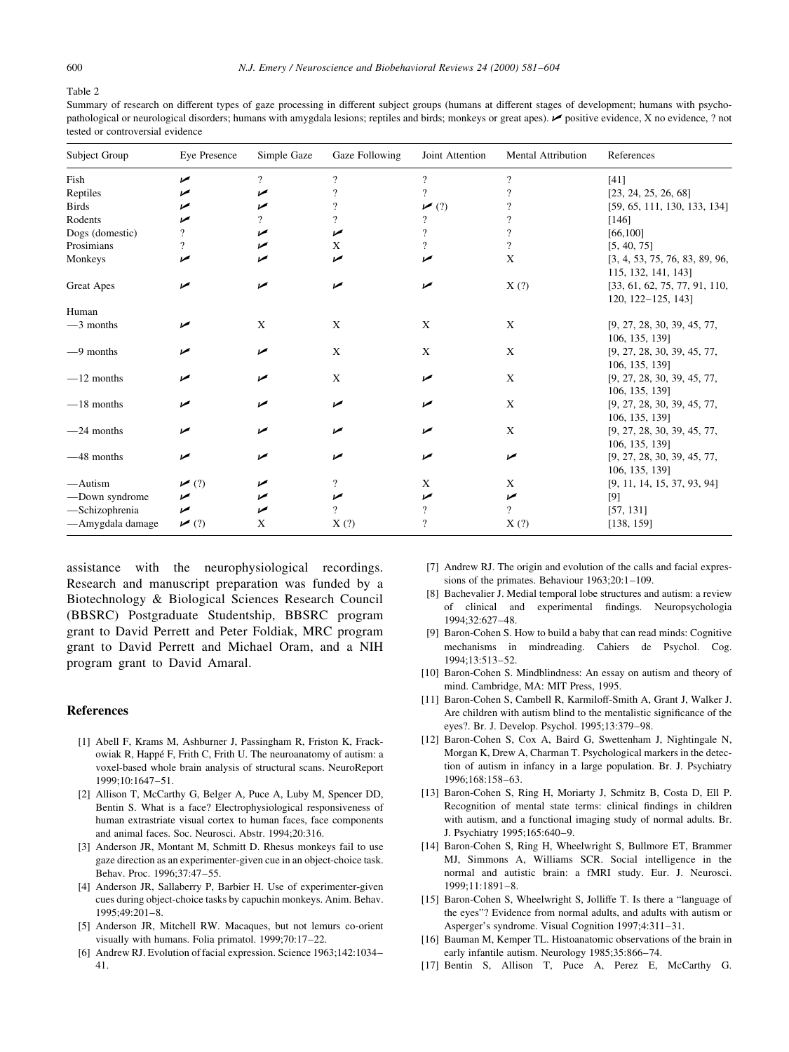#### Table 2

Summary of research on different types of gaze processing in different subject groups (humans at different stages of development; humans with psychopathological or neurological disorders; humans with amygdala lesions; reptiles and birds; monkeys or great apes). U positive evidence, X no evidence, ? not tested or controversial evidence

| Subject Group     | Eye Presence              | Simple Gaze    | Gaze Following           | Joint Attention          | <b>Mental Attribution</b> | References                                            |  |
|-------------------|---------------------------|----------------|--------------------------|--------------------------|---------------------------|-------------------------------------------------------|--|
| Fish              | مما                       | $\overline{?}$ | $\overline{\cdot}$       | $\overline{\mathcal{L}}$ | $\overline{\mathcal{L}}$  | [41]                                                  |  |
| Reptiles          | مما                       | مما            | $\overline{\mathcal{L}}$ | $\overline{\cdot}$       | $\Omega$                  | [23, 24, 25, 26, 68]                                  |  |
| <b>Birds</b>      | مما                       | مما            | $\gamma$                 | مما<br>$^{\prime}$ (?)   | 9                         | [59, 65, 111, 130, 133, 134]                          |  |
| Rodents           | مما                       | $\overline{?}$ | $\overline{\mathcal{L}}$ | $\overline{\mathcal{L}}$ | 9                         | [146]                                                 |  |
| Dogs (domestic)   | 9                         | مما            | ✔                        | $\gamma$                 | $\gamma$                  | [66, 100]                                             |  |
| Prosimians        |                           | مما            | X                        | $\overline{\mathcal{L}}$ | $\overline{\mathcal{L}}$  | [5, 40, 75]                                           |  |
| Monkeys           | مما                       | مما            | مما                      | مما                      | $\mathbf X$               | [3, 4, 53, 75, 76, 83, 89, 96,<br>115, 132, 141, 143] |  |
| Great Apes        | مما                       | مما            | مما                      | مما                      | $\bold{X}$ (?)            | [33, 61, 62, 75, 77, 91, 110,<br>120, 122-125, 143]   |  |
| Human             |                           |                |                          |                          |                           |                                                       |  |
| $-3$ months       | مما                       | X              | X                        | X                        | X                         | [9, 27, 28, 30, 39, 45, 77,<br>106, 135, 139]         |  |
| $-9$ months       | مما                       | مما            | X                        | X                        | $\mathbf X$               | [9, 27, 28, 30, 39, 45, 77,<br>106, 135, 1391         |  |
| $-12$ months      | مما                       | مما            | X                        | مما                      | X                         | [9, 27, 28, 30, 39, 45, 77,<br>106, 135, 1391         |  |
| $-18$ months      | مما                       | مما            | ✔                        | مما                      | X                         | [9, 27, 28, 30, 39, 45, 77,<br>106, 135, 1391         |  |
| $-24$ months      | ممن                       | مما            | مما                      | مما                      | X                         | [9, 27, 28, 30, 39, 45, 77,<br>106, 135, 139]         |  |
| -48 months        | ممن                       | ممرا           | ↙                        | ✔                        | مما                       | [9, 27, 28, 30, 39, 45, 77,<br>106, 135, 1391         |  |
| -Autism           | $\blacktriangleright$ (?) | مما            | $\overline{\mathcal{L}}$ | X                        | X                         | [9, 11, 14, 15, 37, 93, 94]                           |  |
| -Down syndrome    | ✔                         | مما            | مما                      | مما                      | مما                       | [9]                                                   |  |
| -Schizophrenia    | مما                       | مما            | $\overline{?}$           | $\overline{?}$           | $\overline{?}$            | [57, 131]                                             |  |
| — Amygdala damage | $\blacktriangleright$ (?) | X              | X(?)                     | $\overline{\mathcal{L}}$ | X(?)                      | [138, 159]                                            |  |

assistance with the neurophysiological recordings. Research and manuscript preparation was funded by a Biotechnology & Biological Sciences Research Council (BBSRC) Postgraduate Studentship, BBSRC program grant to David Perrett and Peter Foldiak, MRC program grant to David Perrett and Michael Oram, and a NIH program grant to David Amaral.

#### References

- [1] Abell F, Krams M, Ashburner J, Passingham R, Friston K, Frackowiak R, Happé F, Frith C, Frith U. The neuroanatomy of autism: a voxel-based whole brain analysis of structural scans. NeuroReport 1999;10:1647±51.
- [2] Allison T, McCarthy G, Belger A, Puce A, Luby M, Spencer DD, Bentin S. What is a face? Electrophysiological responsiveness of human extrastriate visual cortex to human faces, face components and animal faces. Soc. Neurosci. Abstr. 1994;20:316.
- [3] Anderson JR, Montant M, Schmitt D. Rhesus monkeys fail to use gaze direction as an experimenter-given cue in an object-choice task. Behav. Proc. 1996;37:47-55.
- [4] Anderson JR, Sallaberry P, Barbier H. Use of experimenter-given cues during object-choice tasks by capuchin monkeys. Anim. Behav. 1995;49:201-8.
- [5] Anderson JR, Mitchell RW. Macaques, but not lemurs co-orient visually with humans. Folia primatol. 1999;70:17-22.
- [6] Andrew RJ. Evolution of facial expression. Science 1963;142:1034-41.
- [7] Andrew RJ. The origin and evolution of the calls and facial expressions of the primates. Behaviour  $1963;20:1-109$ .
- [8] Bachevalier J. Medial temporal lobe structures and autism: a review of clinical and experimental findings. Neuropsychologia 1994;32:627±48.
- [9] Baron-Cohen S. How to build a baby that can read minds: Cognitive mechanisms in mindreading. Cahiers de Psychol. Cog. 1994;13:513±52.
- [10] Baron-Cohen S. Mindblindness: An essay on autism and theory of mind. Cambridge, MA: MIT Press, 1995.
- [11] Baron-Cohen S, Cambell R, Karmiloff-Smith A, Grant J, Walker J. Are children with autism blind to the mentalistic significance of the eyes?. Br. J. Develop. Psychol. 1995;13:379-98.
- [12] Baron-Cohen S, Cox A, Baird G, Swettenham J, Nightingale N, Morgan K, Drew A, Charman T. Psychological markers in the detection of autism in infancy in a large population. Br. J. Psychiatry 1996;168:158±63.
- [13] Baron-Cohen S, Ring H, Moriarty J, Schmitz B, Costa D, Ell P. Recognition of mental state terms: clinical findings in children with autism, and a functional imaging study of normal adults. Br. J. Psychiatry 1995;165:640-9.
- [14] Baron-Cohen S, Ring H, Wheelwright S, Bullmore ET, Brammer MJ, Simmons A, Williams SCR. Social intelligence in the normal and autistic brain: a fMRI study. Eur. J. Neurosci. 1999;11:1891±8.
- [15] Baron-Cohen S, Wheelwright S, Jolliffe T. Is there a "language of the eyesº? Evidence from normal adults, and adults with autism or Asperger's syndrome. Visual Cognition 1997;4:311-31.
- [16] Bauman M, Kemper TL. Histoanatomic observations of the brain in early infantile autism. Neurology 1985;35:866-74.
- [17] Bentin S, Allison T, Puce A, Perez E, McCarthy G.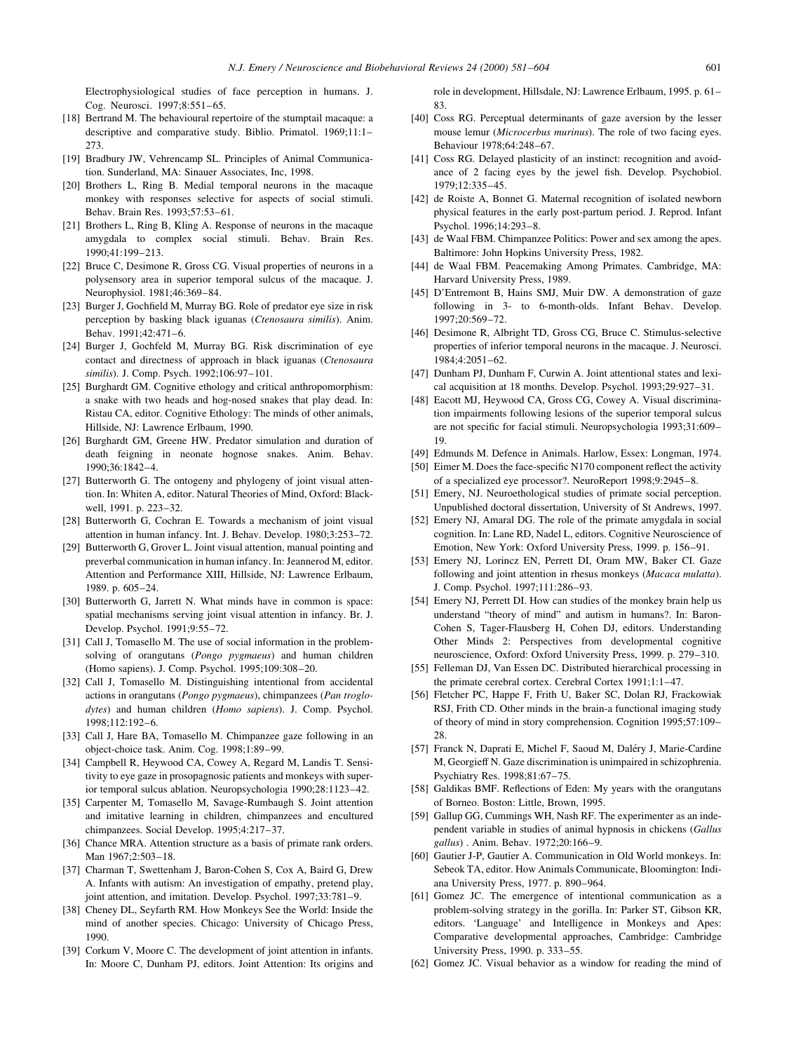Electrophysiological studies of face perception in humans. J. Cog. Neurosci. 1997;8:551-65.

- [18] Bertrand M. The behavioural repertoire of the stumptail macaque: a descriptive and comparative study. Biblio. Primatol. 1969;11:1-273.
- [19] Bradbury JW, Vehrencamp SL. Principles of Animal Communication. Sunderland, MA: Sinauer Associates, Inc, 1998.
- [20] Brothers L, Ring B. Medial temporal neurons in the macaque monkey with responses selective for aspects of social stimuli. Behav. Brain Res. 1993;57:53-61.
- [21] Brothers L, Ring B, Kling A. Response of neurons in the macaque amygdala to complex social stimuli. Behav. Brain Res. 1990;41:199±213.
- [22] Bruce C, Desimone R, Gross CG. Visual properties of neurons in a polysensory area in superior temporal sulcus of the macaque. J. Neurophysiol. 1981;46:369-84.
- [23] Burger J, Gochfield M, Murray BG. Role of predator eye size in risk perception by basking black iguanas (Ctenosaura similis). Anim. Behav. 1991;42:471-6.
- [24] Burger J, Gochfeld M, Murray BG. Risk discrimination of eye contact and directness of approach in black iguanas (Ctenosaura similis). J. Comp. Psych. 1992;106:97-101.
- [25] Burghardt GM. Cognitive ethology and critical anthropomorphism: a snake with two heads and hog-nosed snakes that play dead. In: Ristau CA, editor. Cognitive Ethology: The minds of other animals, Hillside, NJ: Lawrence Erlbaum, 1990.
- [26] Burghardt GM, Greene HW. Predator simulation and duration of death feigning in neonate hognose snakes. Anim. Behav.  $1990.36.1842 - 4$
- [27] Butterworth G. The ontogeny and phylogeny of joint visual attention. In: Whiten A, editor. Natural Theories of Mind, Oxford: Blackwell, 1991. p. 223-32.
- [28] Butterworth G, Cochran E. Towards a mechanism of joint visual attention in human infancy. Int. J. Behav. Develop. 1980;3:253-72.
- [29] Butterworth G, Grover L. Joint visual attention, manual pointing and preverbal communication in human infancy. In: Jeannerod M, editor. Attention and Performance XIII, Hillside, NJ: Lawrence Erlbaum, 1989. p. 605-24.
- [30] Butterworth G, Jarrett N. What minds have in common is space: spatial mechanisms serving joint visual attention in infancy. Br. J. Develop. Psychol. 1991;9:55-72.
- [31] Call J, Tomasello M. The use of social information in the problemsolving of orangutans (Pongo pygmaeus) and human children (Homo sapiens). J. Comp. Psychol. 1995;109:308-20.
- [32] Call J, Tomasello M. Distinguishing intentional from accidental actions in orangutans (Pongo pygmaeus), chimpanzees (Pan troglodytes) and human children (Homo sapiens). J. Comp. Psychol. 1998;112:192-6.
- [33] Call J, Hare BA, Tomasello M. Chimpanzee gaze following in an object-choice task. Anim. Cog. 1998;1:89-99.
- [34] Campbell R, Heywood CA, Cowey A, Regard M, Landis T. Sensitivity to eye gaze in prosopagnosic patients and monkeys with superior temporal sulcus ablation. Neuropsychologia 1990:28:1123-42.
- [35] Carpenter M, Tomasello M, Savage-Rumbaugh S. Joint attention and imitative learning in children, chimpanzees and encultured chimpanzees. Social Develop. 1995;4:217-37.
- [36] Chance MRA. Attention structure as a basis of primate rank orders. Man 1967;2:503-18.
- [37] Charman T, Swettenham J, Baron-Cohen S, Cox A, Baird G, Drew A. Infants with autism: An investigation of empathy, pretend play, joint attention, and imitation. Develop. Psychol. 1997;33:781-9.
- [38] Cheney DL, Seyfarth RM. How Monkeys See the World: Inside the mind of another species. Chicago: University of Chicago Press, 1990.
- [39] Corkum V, Moore C. The development of joint attention in infants. In: Moore C, Dunham PJ, editors. Joint Attention: Its origins and

role in development, Hillsdale, NJ: Lawrence Erlbaum, 1995. p. 61-83.

- [40] Coss RG. Perceptual determinants of gaze aversion by the lesser mouse lemur (Microcerbus murinus). The role of two facing eyes. Behaviour 1978;64:248-67.
- [41] Coss RG. Delayed plasticity of an instinct: recognition and avoidance of 2 facing eyes by the jewel fish. Develop. Psychobiol. 1979;12:335-45.
- [42] de Roiste A, Bonnet G. Maternal recognition of isolated newborn physical features in the early post-partum period. J. Reprod. Infant Psychol. 1996:14:293-8.
- [43] de Waal FBM. Chimpanzee Politics: Power and sex among the apes. Baltimore: John Hopkins University Press, 1982.
- [44] de Waal FBM. Peacemaking Among Primates. Cambridge, MA: Harvard University Press, 1989.
- [45] D'Entremont B, Hains SMJ, Muir DW. A demonstration of gaze following in 3- to 6-month-olds. Infant Behav. Develop. 1997;20:569±72.
- [46] Desimone R, Albright TD, Gross CG, Bruce C. Stimulus-selective properties of inferior temporal neurons in the macaque. J. Neurosci. 1984;4:2051-62.
- [47] Dunham PJ, Dunham F, Curwin A. Joint attentional states and lexical acquisition at 18 months. Develop. Psychol. 1993;29:927-31.
- [48] Eacott MJ, Heywood CA, Gross CG, Cowey A. Visual discrimination impairments following lesions of the superior temporal sulcus are not specific for facial stimuli. Neuropsychologia 1993;31:609-19.
- [49] Edmunds M. Defence in Animals. Harlow, Essex: Longman, 1974.
- [50] Eimer M. Does the face-specific N170 component reflect the activity of a specialized eye processor?. NeuroReport 1998;9:2945-8.
- [51] Emery, NJ. Neuroethological studies of primate social perception. Unpublished doctoral dissertation, University of St Andrews, 1997.
- [52] Emery NJ, Amaral DG. The role of the primate amygdala in social cognition. In: Lane RD, Nadel L, editors. Cognitive Neuroscience of Emotion, New York: Oxford University Press, 1999. p. 156-91.
- [53] Emery NJ, Lorincz EN, Perrett DI, Oram MW, Baker CI. Gaze following and joint attention in rhesus monkeys (Macaca mulatta). J. Comp. Psychol. 1997;111:286-93.
- [54] Emery NJ, Perrett DI. How can studies of the monkey brain help us understand "theory of mind" and autism in humans?. In: Baron-Cohen S, Tager-Flausberg H, Cohen DJ, editors. Understanding Other Minds 2: Perspectives from developmental cognitive neuroscience, Oxford: Oxford University Press, 1999. p. 279-310.
- [55] Felleman DJ, Van Essen DC. Distributed hierarchical processing in the primate cerebral cortex. Cerebral Cortex 1991;1:1-47.
- [56] Fletcher PC, Happe F, Frith U, Baker SC, Dolan RJ, Frackowiak RSJ, Frith CD. Other minds in the brain-a functional imaging study of theory of mind in story comprehension. Cognition 1995;57:109± 28.
- [57] Franck N, Daprati E, Michel F, Saoud M, Daléry J, Marie-Cardine M, Georgieff N. Gaze discrimination is unimpaired in schizophrenia. Psychiatry Res. 1998:81:67-75.
- [58] Galdikas BMF. Reflections of Eden: My years with the orangutans of Borneo. Boston: Little, Brown, 1995.
- [59] Gallup GG, Cummings WH, Nash RF. The experimenter as an independent variable in studies of animal hypnosis in chickens (Gallus gallus). Anim. Behav. 1972;20:166-9.
- [60] Gautier J-P, Gautier A. Communication in Old World monkeys. In: Sebeok TA, editor. How Animals Communicate, Bloomington: Indiana University Press, 1977. p. 890-964.
- [61] Gomez JC. The emergence of intentional communication as a problem-solving strategy in the gorilla. In: Parker ST, Gibson KR, editors. `Language' and Intelligence in Monkeys and Apes: Comparative developmental approaches, Cambridge: Cambridge University Press, 1990. p. 333-55.
- [62] Gomez JC. Visual behavior as a window for reading the mind of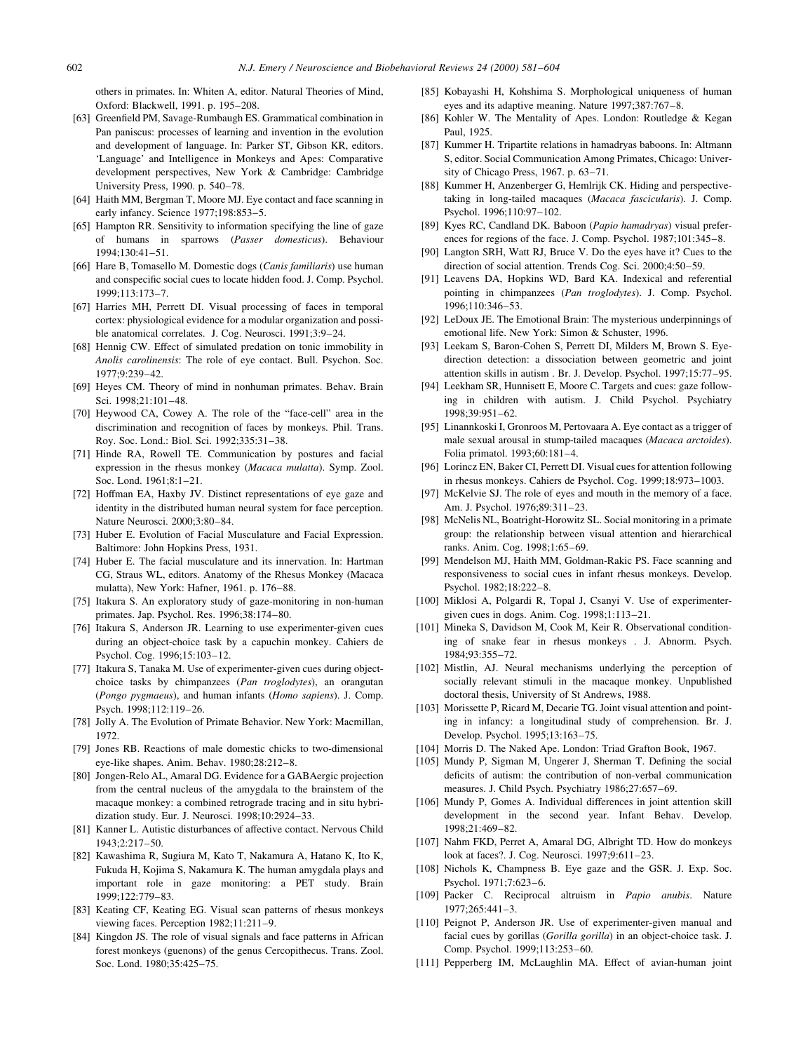others in primates. In: Whiten A, editor. Natural Theories of Mind, Oxford: Blackwell, 1991. p. 195-208.

- [63] Greenfield PM, Savage-Rumbaugh ES. Grammatical combination in Pan paniscus: processes of learning and invention in the evolution and development of language. In: Parker ST, Gibson KR, editors. `Language' and Intelligence in Monkeys and Apes: Comparative development perspectives, New York & Cambridge: Cambridge University Press, 1990. p. 540-78.
- [64] Haith MM, Bergman T, Moore MJ. Eye contact and face scanning in early infancy. Science 1977;198:853-5.
- [65] Hampton RR. Sensitivity to information specifying the line of gaze of humans in sparrows (Passer domesticus). Behaviour 1994;130:41±51.
- [66] Hare B, Tomasello M. Domestic dogs (Canis familiaris) use human and conspecific social cues to locate hidden food. J. Comp. Psychol. 1999;113:173±7.
- [67] Harries MH, Perrett DI. Visual processing of faces in temporal cortex: physiological evidence for a modular organization and possible anatomical correlates. J. Cog. Neurosci. 1991;3:9-24.
- [68] Hennig CW. Effect of simulated predation on tonic immobility in Anolis carolinensis: The role of eye contact. Bull. Psychon. Soc. 1977;9:239±42.
- [69] Heyes CM. Theory of mind in nonhuman primates. Behav. Brain Sci. 1998;21:101-48.
- [70] Heywood CA, Cowey A. The role of the "face-cell" area in the discrimination and recognition of faces by monkeys. Phil. Trans. Roy. Soc. Lond.: Biol. Sci. 1992;335:31-38.
- [71] Hinde RA, Rowell TE. Communication by postures and facial expression in the rhesus monkey (Macaca mulatta). Symp. Zool. Soc. Lond. 1961:8:1-21.
- [72] Hoffman EA, Haxby JV. Distinct representations of eye gaze and identity in the distributed human neural system for face perception. Nature Neurosci. 2000;3:80-84.
- [73] Huber E. Evolution of Facial Musculature and Facial Expression. Baltimore: John Hopkins Press, 1931.
- [74] Huber E. The facial musculature and its innervation. In: Hartman CG, Straus WL, editors. Anatomy of the Rhesus Monkey (Macaca mulatta), New York: Hafner, 1961. p. 176-88.
- [75] Itakura S. An exploratory study of gaze-monitoring in non-human primates. Jap. Psychol. Res. 1996;38:174-80.
- [76] Itakura S, Anderson JR. Learning to use experimenter-given cues during an object-choice task by a capuchin monkey. Cahiers de Psychol. Cog. 1996;15:103-12.
- [77] Itakura S, Tanaka M. Use of experimenter-given cues during objectchoice tasks by chimpanzees (Pan troglodytes), an orangutan (Pongo pygmaeus), and human infants (Homo sapiens). J. Comp. Psych. 1998;112:119±26.
- [78] Jolly A. The Evolution of Primate Behavior. New York: Macmillan, 1972.
- [79] Jones RB. Reactions of male domestic chicks to two-dimensional eye-like shapes. Anim. Behav. 1980;28:212-8.
- [80] Jongen-Relo AL, Amaral DG. Evidence for a GABAergic projection from the central nucleus of the amygdala to the brainstem of the macaque monkey: a combined retrograde tracing and in situ hybridization study. Eur. J. Neurosci. 1998;10:2924-33.
- [81] Kanner L. Autistic disturbances of affective contact. Nervous Child 1943;2:217±50.
- [82] Kawashima R, Sugiura M, Kato T, Nakamura A, Hatano K, Ito K, Fukuda H, Kojima S, Nakamura K. The human amygdala plays and important role in gaze monitoring: a PET study. Brain 1999;122:779-83.
- [83] Keating CF, Keating EG. Visual scan patterns of rhesus monkeys viewing faces. Perception  $1982;11:211-9$ .
- [84] Kingdon JS. The role of visual signals and face patterns in African forest monkeys (guenons) of the genus Cercopithecus. Trans. Zool. Soc. Lond. 1980;35:425-75.
- [85] Kobayashi H, Kohshima S. Morphological uniqueness of human eyes and its adaptive meaning. Nature  $1997;387:767-8$ .
- [86] Kohler W. The Mentality of Apes. London: Routledge & Kegan Paul, 1925.
- [87] Kummer H. Tripartite relations in hamadryas baboons. In: Altmann S, editor. Social Communication Among Primates, Chicago: University of Chicago Press,  $1967$ . p.  $63-71$ .
- [88] Kummer H, Anzenberger G, Hemlrijk CK. Hiding and perspectivetaking in long-tailed macaques (Macaca fascicularis). J. Comp. Psychol. 1996;110:97-102.
- [89] Kyes RC, Candland DK. Baboon (Papio hamadryas) visual preferences for regions of the face. J. Comp. Psychol. 1987;101:345-8.
- [90] Langton SRH, Watt RJ, Bruce V. Do the eyes have it? Cues to the direction of social attention. Trends Cog. Sci. 2000;4:50-59.
- [91] Leavens DA, Hopkins WD, Bard KA. Indexical and referential pointing in chimpanzees (Pan troglodytes). J. Comp. Psychol. 1996:110:346-53.
- [92] LeDoux JE. The Emotional Brain: The mysterious underpinnings of emotional life. New York: Simon & Schuster, 1996.
- [93] Leekam S, Baron-Cohen S, Perrett DI, Milders M, Brown S. Eyedirection detection: a dissociation between geometric and joint attention skills in autism . Br. J. Develop. Psychol. 1997;15:77-95.
- [94] Leekham SR, Hunnisett E, Moore C. Targets and cues: gaze following in children with autism. J. Child Psychol. Psychiatry 1998;39:951-62.
- [95] Linannkoski I, Gronroos M, Pertovaara A. Eye contact as a trigger of male sexual arousal in stump-tailed macaques (Macaca arctoides). Folia primatol. 1993;60:181-4.
- [96] Lorincz EN, Baker CI, Perrett DI. Visual cues for attention following in rhesus monkeys. Cahiers de Psychol. Cog. 1999;18:973-1003.
- [97] McKelvie SJ. The role of eyes and mouth in the memory of a face. Am. J. Psychol. 1976;89:311-23.
- [98] McNelis NL, Boatright-Horowitz SL. Social monitoring in a primate group: the relationship between visual attention and hierarchical ranks. Anim. Cog. 1998;1:65-69.
- [99] Mendelson MJ, Haith MM, Goldman-Rakic PS. Face scanning and responsiveness to social cues in infant rhesus monkeys. Develop. Psychol. 1982;18:222-8.
- [100] Miklosi A, Polgardi R, Topal J, Csanyi V. Use of experimentergiven cues in dogs. Anim. Cog. 1998;1:113-21.
- [101] Mineka S, Davidson M, Cook M, Keir R. Observational conditioning of snake fear in rhesus monkeys . J. Abnorm. Psych. 1984;93:355±72.
- [102] Mistlin, AJ. Neural mechanisms underlying the perception of socially relevant stimuli in the macaque monkey. Unpublished doctoral thesis, University of St Andrews, 1988.
- [103] Morissette P, Ricard M, Decarie TG. Joint visual attention and pointing in infancy: a longitudinal study of comprehension. Br. J. Develop. Psychol. 1995;13:163-75.
- [104] Morris D. The Naked Ape. London: Triad Grafton Book, 1967.
- [105] Mundy P, Sigman M, Ungerer J, Sherman T. Defining the social deficits of autism: the contribution of non-verbal communication measures. J. Child Psych. Psychiatry 1986;27:657-69.
- [106] Mundy P, Gomes A. Individual differences in joint attention skill development in the second year. Infant Behav. Develop. 1998;21:469±82.
- [107] Nahm FKD, Perret A, Amaral DG, Albright TD. How do monkeys look at faces?. J. Cog. Neurosci. 1997;9:611-23.
- [108] Nichols K, Champness B. Eye gaze and the GSR. J. Exp. Soc. Psychol. 1971;7:623-6.
- [109] Packer C. Reciprocal altruism in Papio anubis. Nature 1977;265:441±3.
- [110] Peignot P, Anderson JR. Use of experimenter-given manual and facial cues by gorillas (Gorilla gorilla) in an object-choice task. J. Comp. Psychol. 1999;113:253-60.
- [111] Pepperberg IM, McLaughlin MA. Effect of avian-human joint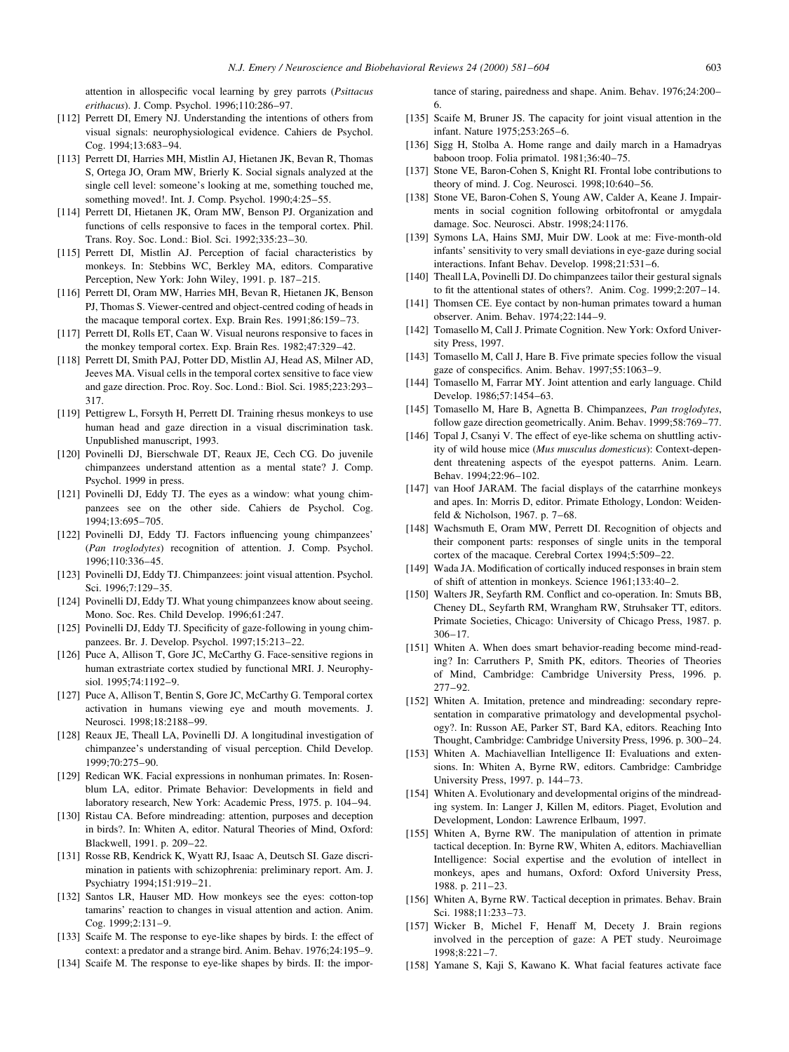attention in allospecific vocal learning by grey parrots (Psittacus erithacus). J. Comp. Psychol. 1996;110:286-97.

- [112] Perrett DI, Emery NJ. Understanding the intentions of others from visual signals: neurophysiological evidence. Cahiers de Psychol. Cog. 1994;13:683-94.
- [113] Perrett DI, Harries MH, Mistlin AJ, Hietanen JK, Bevan R, Thomas S, Ortega JO, Oram MW, Brierly K. Social signals analyzed at the single cell level: someone's looking at me, something touched me, something moved!. Int. J. Comp. Psychol. 1990;4:25-55.
- [114] Perrett DI, Hietanen JK, Oram MW, Benson PJ. Organization and functions of cells responsive to faces in the temporal cortex. Phil. Trans. Roy. Soc. Lond.: Biol. Sci. 1992;335:23-30.
- [115] Perrett DI, Mistlin AJ. Perception of facial characteristics by monkeys. In: Stebbins WC, Berkley MA, editors. Comparative Perception, New York: John Wiley, 1991. p. 187-215.
- [116] Perrett DI, Oram MW, Harries MH, Bevan R, Hietanen JK, Benson PJ, Thomas S. Viewer-centred and object-centred coding of heads in the macaque temporal cortex. Exp. Brain Res. 1991;86:159-73.
- [117] Perrett DI, Rolls ET, Caan W. Visual neurons responsive to faces in the monkey temporal cortex. Exp. Brain Res. 1982;47:329-42.
- [118] Perrett DI, Smith PAJ, Potter DD, Mistlin AJ, Head AS, Milner AD, Jeeves MA. Visual cells in the temporal cortex sensitive to face view and gaze direction. Proc. Roy. Soc. Lond.: Biol. Sci. 1985;223:293-317.
- [119] Pettigrew L, Forsyth H, Perrett DI. Training rhesus monkeys to use human head and gaze direction in a visual discrimination task. Unpublished manuscript, 1993.
- [120] Povinelli DJ, Bierschwale DT, Reaux JE, Cech CG. Do juvenile chimpanzees understand attention as a mental state? J. Comp. Psychol. 1999 in press.
- [121] Povinelli DJ, Eddy TJ. The eyes as a window: what young chimpanzees see on the other side. Cahiers de Psychol. Cog. 1994;13:695±705.
- [122] Povinelli DJ, Eddy TJ. Factors influencing young chimpanzees' (Pan troglodytes) recognition of attention. J. Comp. Psychol. 1996;110:336-45.
- [123] Povinelli DJ, Eddy TJ. Chimpanzees: joint visual attention. Psychol. Sci. 1996;7:129-35.
- [124] Povinelli DJ, Eddy TJ. What young chimpanzees know about seeing. Mono. Soc. Res. Child Develop. 1996;61:247.
- [125] Povinelli DJ, Eddy TJ. Specificity of gaze-following in young chimpanzees. Br. J. Develop. Psychol. 1997;15:213-22.
- [126] Puce A, Allison T, Gore JC, McCarthy G. Face-sensitive regions in human extrastriate cortex studied by functional MRI. J. Neurophysiol. 1995:74:1192-9.
- [127] Puce A, Allison T, Bentin S, Gore JC, McCarthy G. Temporal cortex activation in humans viewing eye and mouth movements. J. Neurosci. 1998;18:2188-99.
- [128] Reaux JE, Theall LA, Povinelli DJ. A longitudinal investigation of chimpanzee's understanding of visual perception. Child Develop. 1999;70:275±90.
- [129] Redican WK. Facial expressions in nonhuman primates. In: Rosenblum LA, editor. Primate Behavior: Developments in field and laboratory research, New York: Academic Press, 1975. p. 104-94.
- [130] Ristau CA. Before mindreading: attention, purposes and deception in birds?. In: Whiten A, editor. Natural Theories of Mind, Oxford: Blackwell, 1991. p. 209-22.
- [131] Rosse RB, Kendrick K, Wyatt RJ, Isaac A, Deutsch SI. Gaze discrimination in patients with schizophrenia: preliminary report. Am. J. Psychiatry 1994;151:919-21.
- [132] Santos LR, Hauser MD. How monkeys see the eyes: cotton-top tamarins' reaction to changes in visual attention and action. Anim. Cog. 1999;2:131-9.
- [133] Scaife M. The response to eye-like shapes by birds. I: the effect of context: a predator and a strange bird. Anim. Behav. 1976;24:195-9.
- [134] Scaife M. The response to eye-like shapes by birds. II: the impor-

tance of staring, pairedness and shape. Anim. Behav. 1976;24:200– 6.

- [135] Scaife M, Bruner JS. The capacity for joint visual attention in the infant. Nature 1975:253:265-6.
- [136] Sigg H, Stolba A. Home range and daily march in a Hamadryas baboon troop. Folia primatol. 1981;36:40-75.
- [137] Stone VE, Baron-Cohen S, Knight RI. Frontal lobe contributions to theory of mind. J. Cog. Neurosci. 1998;10:640-56.
- [138] Stone VE, Baron-Cohen S, Young AW, Calder A, Keane J. Impairments in social cognition following orbitofrontal or amygdala damage. Soc. Neurosci. Abstr. 1998;24:1176.
- [139] Symons LA, Hains SMJ, Muir DW. Look at me: Five-month-old infants' sensitivity to very small deviations in eye-gaze during social interactions. Infant Behav. Develop. 1998;21:531-6.
- [140] Theall LA, Povinelli DJ. Do chimpanzees tailor their gestural signals to fit the attentional states of others?. Anim. Cog. 1999;2:207-14.
- [141] Thomsen CE. Eye contact by non-human primates toward a human observer. Anim. Behav. 1974;22:144-9.
- [142] Tomasello M, Call J. Primate Cognition. New York: Oxford University Press, 1997.
- [143] Tomasello M, Call J, Hare B. Five primate species follow the visual gaze of conspecifics. Anim. Behav. 1997;55:1063-9.
- [144] Tomasello M, Farrar MY. Joint attention and early language. Child Develop. 1986;57:1454-63.
- [145] Tomasello M, Hare B, Agnetta B. Chimpanzees, Pan troglodytes, follow gaze direction geometrically. Anim. Behav. 1999;58:769-77.
- [146] Topal J, Csanyi V. The effect of eye-like schema on shuttling activity of wild house mice (Mus musculus domesticus): Context-dependent threatening aspects of the eyespot patterns. Anim. Learn. Behav. 1994;22:96-102.
- [147] van Hoof JARAM. The facial displays of the catarrhine monkeys and apes. In: Morris D, editor. Primate Ethology, London: Weidenfeld & Nicholson, 1967. p. 7-68.
- [148] Wachsmuth E, Oram MW, Perrett DI. Recognition of objects and their component parts: responses of single units in the temporal cortex of the macaque. Cerebral Cortex  $1994:5:509-22$ .
- [149] Wada JA. Modification of cortically induced responses in brain stem of shift of attention in monkeys. Science 1961;133:40-2.
- [150] Walters JR, Seyfarth RM. Conflict and co-operation. In: Smuts BB, Cheney DL, Seyfarth RM, Wrangham RW, Struhsaker TT, editors. Primate Societies, Chicago: University of Chicago Press, 1987. p.  $306 - 17$ .
- [151] Whiten A. When does smart behavior-reading become mind-reading? In: Carruthers P, Smith PK, editors. Theories of Theories of Mind, Cambridge: Cambridge University Press, 1996. p. 277±92.
- [152] Whiten A. Imitation, pretence and mindreading: secondary representation in comparative primatology and developmental psychology?. In: Russon AE, Parker ST, Bard KA, editors. Reaching Into Thought, Cambridge: Cambridge University Press, 1996. p. 300-24.
- [153] Whiten A. Machiavellian Intelligence II: Evaluations and extensions. In: Whiten A, Byrne RW, editors. Cambridge: Cambridge University Press, 1997. p. 144-73.
- [154] Whiten A. Evolutionary and developmental origins of the mindreading system. In: Langer J, Killen M, editors. Piaget, Evolution and Development, London: Lawrence Erlbaum, 1997.
- [155] Whiten A, Byrne RW. The manipulation of attention in primate tactical deception. In: Byrne RW, Whiten A, editors. Machiavellian Intelligence: Social expertise and the evolution of intellect in monkeys, apes and humans, Oxford: Oxford University Press, 1988. p. 211-23.
- [156] Whiten A, Byrne RW. Tactical deception in primates. Behav. Brain Sci. 1988:11:233-73.
- [157] Wicker B, Michel F, Henaff M, Decety J. Brain regions involved in the perception of gaze: A PET study. Neuroimage 1998;8:221±7.
- [158] Yamane S, Kaji S, Kawano K. What facial features activate face